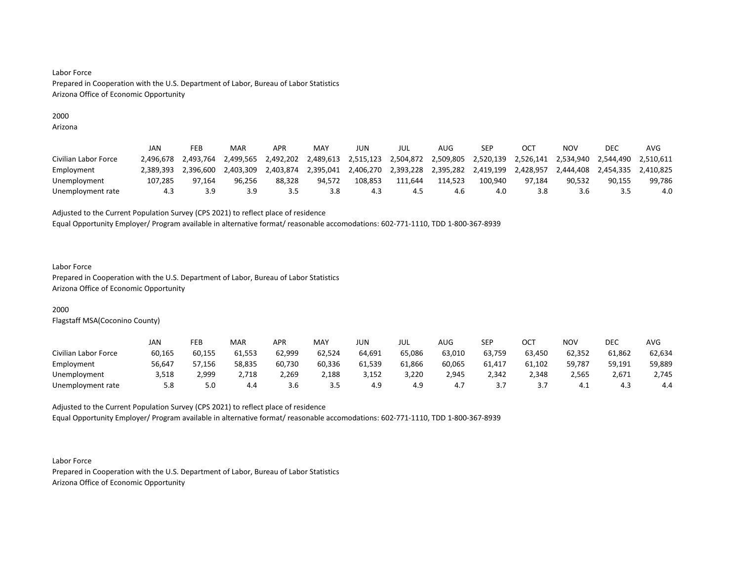# 2000

Arizona

|                      | JAN       | FEB       | MAR       | APR       | MAY       | JUN       | jul       | AUG       | SEP       |           | NOV       | DEC       | AVG       |
|----------------------|-----------|-----------|-----------|-----------|-----------|-----------|-----------|-----------|-----------|-----------|-----------|-----------|-----------|
| Civilian Labor Force | 2.496.678 | 2.493.764 | 2.499.565 | 2.492.202 | 2.489.613 | 2,515,123 | 2,504,872 | 2,509,805 | 2,520,139 | 2,526,141 | 2,534,940 | 2,544,490 | 2.510.611 |
| Employment           | 2.389.393 | 2.396.600 | 2.403.309 | 2.403.874 | 2.395.041 | 2,406,270 | 2,393,228 | 2,395,282 | 2.419.199 | 2,428,957 | 2,444,408 | 2,454,335 | 2.410.825 |
| Unemployment         | 107.285   | 97.164    | 96.256    | 88.328    | 94.572    | 108.853   | 111.644   | 114.523   | 100.940   | 97.184    | 90.532    | 90.155    | 99.786    |
| Unemployment rate    | 4.3       | 3.9       | 3.9       |           | 3.8       | 4.3       | 4.5       | 4.6       | 4.0       |           | 3.6       |           | 4.0       |

Adjusted to the Current Population Survey (CPS 2021) to reflect place of residence

Equal Opportunity Employer/ Program available in alternative format/ reasonable accomodations: 602-771-1110, TDD 1-800-367-8939

### Labor Force

Prepared in Cooperation with the U.S. Department of Labor, Bureau of Labor Statistics Arizona Office of Economic Opportunity

# 2000

Flagstaff MSA(Coconino County)

|                      | JAN    | FEB          | <b>MAR</b> | APR    | MAY    | JUN    | JUL    | AUG    | SEP       | ост    | NOV    | DEC    | AVG    |
|----------------------|--------|--------------|------------|--------|--------|--------|--------|--------|-----------|--------|--------|--------|--------|
| Civilian Labor Force | 60,165 | 60.155       | 61,553     | 62,999 | 62,524 | 64,691 | 65,086 | 63,010 | 63,759    | 63,450 | 62,352 | 61,862 | 62,634 |
| Employment           | 56,647 | 57,156       | 58,835     | 60,730 | 60,336 | 61,539 | 61,866 | 60,065 | 61,417    | 61,102 | 59,787 | 59,191 | 59,889 |
| Unemployment         | 3,518  | <u>2,999</u> | 2,718      | 2,269  | 2,188  | 3,152  | 3,220  | 2,945  | 2,342     | 2,348  | 2,565  | 2,671  | 2,745  |
| Unemployment rate    | 5.8    | 5.0          | 4.4        | 3.6    | د.د    | 4.9    | 4.9    | 4.,    | <u>.,</u> |        | – 4.⊾  | 4.3    | 4.4    |

Adjusted to the Current Population Survey (CPS 2021) to reflect place of residence Equal Opportunity Employer/ Program available in alternative format/ reasonable accomodations: 602-771-1110, TDD 1-800-367-8939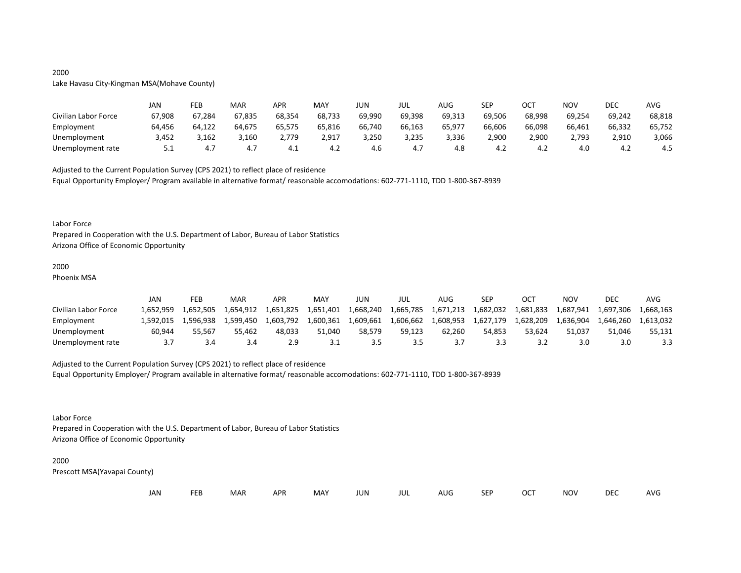# 2000

### Lake Havasu City-Kingman MSA(Mohave County)

|                      | JAN    | FEB    | MAR    | APR    | MAY    | JUN    | JUL    | <b>AUG</b> | <b>SEP</b> | ост    | NOV    | DEC    | <b>AVG</b> |
|----------------------|--------|--------|--------|--------|--------|--------|--------|------------|------------|--------|--------|--------|------------|
| Civilian Labor Force | 67,908 | 67,284 | 67,835 | 68,354 | 68,733 | 69,990 | 69,398 | 69,313     | 69,506     | 68,998 | 69,254 | 69,242 | 68,818     |
| Employment           | 64,456 | 64,122 | 64,675 | 65,575 | 65,816 | 66,740 | 66,163 | 65,977     | 66,606     | 66,098 | 66,461 | 66,332 | 65,752     |
| Unemployment         | 3,452  | 3,162  | 3,160  | 2.779  | 2,917  | 3,250  | 3,235  | 3,336      | 2,900      | 2,900  | 2,793  | 2,910  | 3,066      |
| Unemployment rate    | 5.1    | 4.7    |        | - →.⊥  | 4.Z    | 4.6    | 4.7    | 4.8        | 4.2        | 4.Z    | 4.0    | 4.Z    | 4.5        |

Adjusted to the Current Population Survey (CPS 2021) to reflect place of residence

Equal Opportunity Employer/ Program available in alternative format/ reasonable accomodations: 602-771-1110, TDD 1-800-367-8939

#### Labor Force

Prepared in Cooperation with the U.S. Department of Labor, Bureau of Labor Statistics Arizona Office of Economic Opportunity

### 2000

Phoenix MSA

|                      | JAN       | FEB       | MAR       | APR       | <b>MAY</b> | JUN       | JUL       | AUG       | <b>SEP</b> | OC <sup>7</sup> | NOV       | DEC       | AVG       |
|----------------------|-----------|-----------|-----------|-----------|------------|-----------|-----------|-----------|------------|-----------------|-----------|-----------|-----------|
| Civilian Labor Force | 1.652.959 | 1.652.505 | 1,654,912 | 1,651,825 | 1,651,401  | 1,668,240 | 1,665,785 | 1,671,213 | 1,682,032  | 1,681,833       | 1,687,941 | 1,697,306 | 1.668.163 |
| Employment           | 1.592.015 | 1.596.938 | 1.599.450 | 1.603.792 | 1,600,361  | 1,609,661 | 1,606,662 | 1,608,953 | 1,627,179  | 1,628,209       | 1.636.904 | 1.646.260 | 1.613.032 |
| Unemployment         | 60.944    | 55.567    | 55.462    | 48.033    | 51.040     | 58.579    | 59.123    | 62.260    | 54.853     | 53.624          | 51.037    | 51.046    | 55,131    |
| Unemployment rate    | -3.7      |           |           |           | <u>J.L</u> |           | 3.5       |           | 3.3        |                 | 3.0       |           |           |

# Adjusted to the Current Population Survey (CPS 2021) to reflect place of residence

Equal Opportunity Employer/ Program available in alternative format/ reasonable accomodations: 602-771-1110, TDD 1-800-367-8939

#### Labor Force

Prepared in Cooperation with the U.S. Department of Labor, Bureau of Labor Statistics Arizona Office of Economic Opportunity

#### 2000

| JAN<br><b>FEB</b><br><b>OCT</b><br>MAR<br>MAY<br><b>APR</b><br><b>NOV</b><br>JUN<br><b>SEP</b><br>AUG<br>jul |  |  |  |  |  |  |  |  |  |  |  | DEC | <b>AVG</b> |
|--------------------------------------------------------------------------------------------------------------|--|--|--|--|--|--|--|--|--|--|--|-----|------------|
|--------------------------------------------------------------------------------------------------------------|--|--|--|--|--|--|--|--|--|--|--|-----|------------|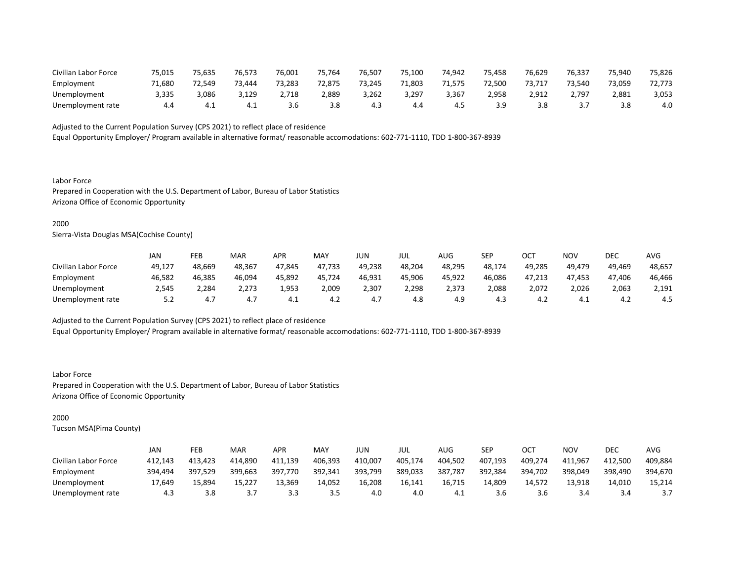| Civilian Labor Force | 75,015 | 75,635 | 76,573 | 76,001 | 75.764 | 76,507 | 75.100 | 74,942 | 75.458 | 76,629 | 76,337 | 75,940 | 75,826 |
|----------------------|--------|--------|--------|--------|--------|--------|--------|--------|--------|--------|--------|--------|--------|
| Employment           | 71.680 | 72.549 | 73.444 | 73,283 | 72.875 | 73.245 | 1,803  | 71,575 | 72.500 | 73,717 | 73.540 | 73,059 | 72,773 |
| Unemployment         | 3,335  | 3,086  | 3,129  | 2,718  | 2,889  | 3,262  | 3,297  | 3,367  | 2,958  | 2,912  | 2,797  | 2,881  | 3,053  |
| Unemployment rate    | 4.4    |        |        | 3.6    | 3.8    | 4.3    | 4.4    | 4.5    | 3 G    |        |        |        | 4.0    |

Equal Opportunity Employer/ Program available in alternative format/ reasonable accomodations: 602-771-1110, TDD 1-800-367-8939

Labor Force Prepared in Cooperation with the U.S. Department of Labor, Bureau of Labor Statistics Arizona Office of Economic Opportunity

### 2000

Sierra-Vista Douglas MSA(Cochise County)

|                      | JAN    | FEB    | <b>MAR</b> | APR    | MAY    | JUN    | JUL    | AUG    | <b>SEP</b> | OCT    | NOV    | DEC    | AVG    |
|----------------------|--------|--------|------------|--------|--------|--------|--------|--------|------------|--------|--------|--------|--------|
| Civilian Labor Force | 49,127 | 48,669 | 48,367     | 47,845 | 47,733 | 49,238 | 48,204 | 48,295 | 48,174     | 49,285 | 49,479 | 49,469 | 48,657 |
| Employment           | 46,582 | 46,385 | 46,094     | 45,892 | 45,724 | 46,931 | 45,906 | 45,922 | 46,086     | 47,213 | 47.453 | 47.406 | 46,466 |
| Unemployment         | 2.545  | 2,284  | 2,273      | 1,953  | 2,009  | 2,307  | 2,298  | 2,373  | 2,088      | 2,072  | 2,026  | 2,063  | 2,191  |
| Unemployment rate    | 5.2    | 4.,    | 4.7        | 4.⊥    | 4.2    | 4.,    | 4.8    | 4.9    | 4.3        | 4.∠    | 4.1    | ے.4    | 4.5    |

Adjusted to the Current Population Survey (CPS 2021) to reflect place of residence

Equal Opportunity Employer/ Program available in alternative format/ reasonable accomodations: 602-771-1110, TDD 1-800-367-8939

Labor Force Prepared in Cooperation with the U.S. Department of Labor, Bureau of Labor Statistics Arizona Office of Economic Opportunity

# 2000

|                      | JAN     | FEB     | <b>MAR</b> | APR     | MAY     | JUN     | JUL     | AUG     | <b>SEP</b> | OCT     | NOV     | DEC     | AVG     |
|----------------------|---------|---------|------------|---------|---------|---------|---------|---------|------------|---------|---------|---------|---------|
| Civilian Labor Force | 412.143 | 413.423 | 414.890    | 411.139 | 406,393 | 410.007 | 405,174 | 404.502 | 407,193    | 409,274 | 411,967 | 412.500 | 409,884 |
| Employment           | 394,494 | 397,529 | 399,663    | 397,770 | 392,341 | 393,799 | 389,033 | 387,787 | 392,384    | 394,702 | 398,049 | 398,490 | 394,670 |
| Unemployment         | 17.649  | 15.894  | 15,227     | 13.369  | 14.052  | 16,208  | 16.141  | 16,715  | 14.809     | 14.572  | 13.918  | 14.010  | 15.214  |
| Unemployment rate    | 4.3     | 3.8     |            |         | 3.5     | 4.0     | 4.0     | -4.1    | 3.6        | 3.6     | 3.4     | 3.4     |         |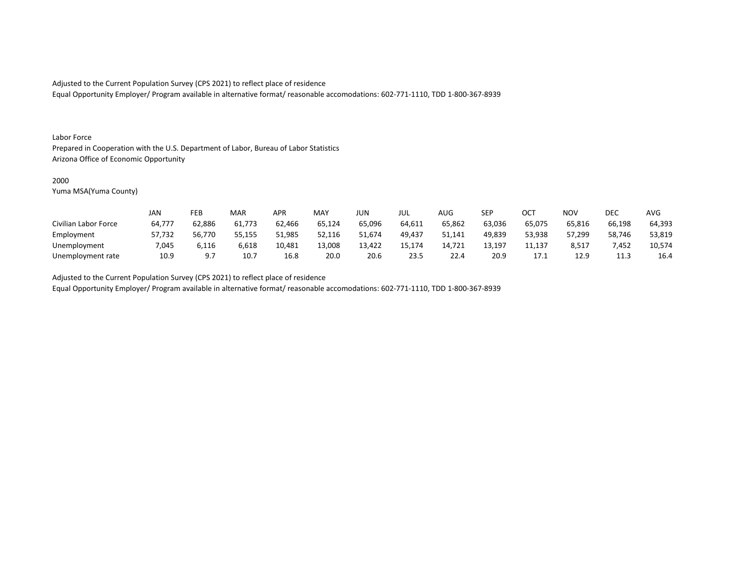Equal Opportunity Employer/ Program available in alternative format/ reasonable accomodations: 602-771-1110, TDD 1-800-367-8939

#### Labor Force

Prepared in Cooperation with the U.S. Department of Labor, Bureau of Labor Statistics Arizona Office of Economic Opportunity

### 2000

Yuma MSA(Yuma County)

|                      | JAN    | FEB    | MAR    | APR    | <b>MAY</b> | JUN    | JUL    | AUG    | SEP    | ОСТ            | <b>NOV</b> | DEC    | <b>AVG</b> |
|----------------------|--------|--------|--------|--------|------------|--------|--------|--------|--------|----------------|------------|--------|------------|
| Civilian Labor Force | 64,777 | 62,886 | 61,773 | 62,466 | 65,124     | 65,096 | 64,611 | 65,862 | 63,036 | 65,075         | 65,816     | 66,198 | 64,393     |
| Employment           | 57,732 | 56.770 | 55,155 | 51.985 | 52,116     | 51.674 | 49,437 | 51,141 | 49,839 | 53,938         | 57,299     | 58,746 | 53,819     |
| Unemployment         | 7,045  | 116,د  | 6,618  | 10,481 | 13,008     | 13,422 | 15.174 | 14,721 | 13,197 | 11,137         | 8,517      | 7,452  | 10,574     |
| Unemployment rate    | 10.9   |        | 10.7   | 16.8   | 20.0       | 20.6   | 23.5   | 22.4   | 20.9   | . <i>. .</i> . | 12.9       | 11.3   | 16.4       |

Adjusted to the Current Population Survey (CPS 2021) to reflect place of residence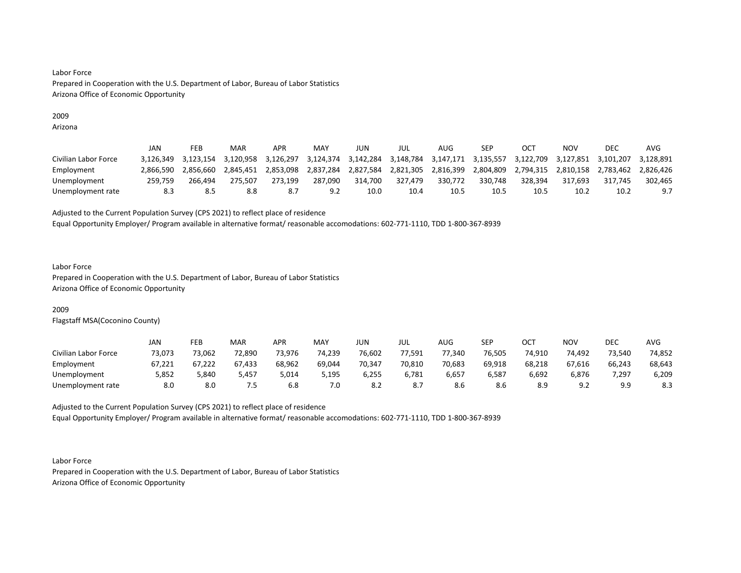# 2009

Arizona

|                      | JAN       | FEB       | <b>MAR</b> | APR       | MAY       | JUN       | jul       | AUG       | SEP       |           | NOV       | DEC       | AVG       |
|----------------------|-----------|-----------|------------|-----------|-----------|-----------|-----------|-----------|-----------|-----------|-----------|-----------|-----------|
| Civilian Labor Force |           | 3.123.154 | 3.120.958  | 3,126,297 | 3,124,374 | 3,142,284 | 3,148,784 | 3,147,171 | 3,135,557 | 3,122,709 | 3.127.851 | 3.101.207 | 3.128.891 |
| Employment           | 2.866.590 | 2.856.660 | 2.845.451  | 2,853,098 | 2,837,284 | 2,827,584 | 2,821,305 | 2,816,399 | 2,804,809 | 2,794,315 | 2.810.158 | 2,783,462 | 2.826.426 |
| Unemployment         | 259,759   | 266.494   | 275.507    | 273.199   | 287.090   | 314.700   | 327,479   | 330.772   | 330.748   | 328.394   | 317.693   | 317.745   | 302,465   |
| Unemployment rate    | 8.3       | 8.5       | 8.8        |           | 9.2       | 10.0      | 10.4      | 10.5      | 10.5      | 10.5      | 10.2      | 10.2      | 9.7       |

Adjusted to the Current Population Survey (CPS 2021) to reflect place of residence

Equal Opportunity Employer/ Program available in alternative format/ reasonable accomodations: 602-771-1110, TDD 1-800-367-8939

### Labor Force

Prepared in Cooperation with the U.S. Department of Labor, Bureau of Labor Statistics Arizona Office of Economic Opportunity

# 2009

Flagstaff MSA(Coconino County)

|                      | JAN    | FEB    | <b>MAR</b> | APR    | <b>MAY</b> | JUN    | JUL    | AUG.   | SEP    | ост    | NOV        | DEC    | AVG    |
|----------------------|--------|--------|------------|--------|------------|--------|--------|--------|--------|--------|------------|--------|--------|
| Civilian Labor Force | 73,073 | 73,062 | 72,890     | 73,976 | 74,239     | 76,602 | 77,591 | 77,340 | 76,505 | 74,910 | 74,492     | 73,540 | 74,852 |
| Employment           | 67,221 | 67,222 | 67,433     | 68,962 | 69,044     | 70,347 | 70,810 | 70,683 | 69,918 | 68,218 | 67,616     | 66,243 | 68,643 |
| Unemployment         | 5,852  | 5,840  | 5,457      | 014,ز  | 5,195      | 6,255  | 6,781  | 6,657  | 6,587  | 6,692  | 6,876      | 7,297  | 6,209  |
| Unemployment rate    | 8.0    | 8.0    | 7.5        | 6.8    | 7.0        | 8.2    | ,      | 8.6    | 8.6    | 8.9    | ് വ<br>J.L | 9.9    | 8.3    |

Adjusted to the Current Population Survey (CPS 2021) to reflect place of residence Equal Opportunity Employer/ Program available in alternative format/ reasonable accomodations: 602-771-1110, TDD 1-800-367-8939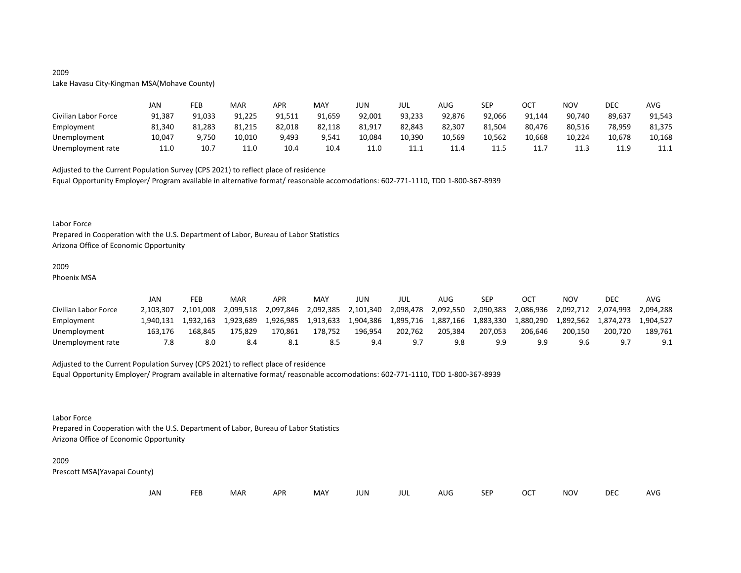# 2009

Lake Havasu City-Kingman MSA(Mohave County)

|                      | JAN    | FEB    | MAR    | APR    | MAY    | JUN    | JUL    | AUG    | <b>SEP</b> | ост    | NOV    | DEC        | AVG    |
|----------------------|--------|--------|--------|--------|--------|--------|--------|--------|------------|--------|--------|------------|--------|
| Civilian Labor Force | 91,387 | 91,033 | 91,225 | 91,511 | 91,659 | 92,001 | 93,233 | 92,876 | 92,066     | 91,144 | 90,740 | 89,637     | 91,543 |
| Employment           | 81,340 | 81,283 | 81,215 | 82,018 | 82,118 | 81,917 | 82,843 | 82,307 | 81,504     | 80,476 | 80,516 | 78,959     | 81,375 |
| Unemployment         | 10,047 | 9,750  | 10,010 | 9,493  | 9,541  | 10,084 | 10,390 | 10,569 | 10,562     | 10,668 | 10,224 | 10,678     | 10,168 |
| Unemployment rate    | 11.0   | 10.7   | 11.0   | 10.4   | 10.4   | 11.0   | 11.1   | 11.4   | 11.5       | .      | 11.3   | 119<br>--- | 11.1   |

Adjusted to the Current Population Survey (CPS 2021) to reflect place of residence Equal Opportunity Employer/ Program available in alternative format/ reasonable accomodations: 602-771-1110, TDD 1-800-367-8939

#### Labor Force

Prepared in Cooperation with the U.S. Department of Labor, Bureau of Labor Statistics Arizona Office of Economic Opportunity

### 2009

Phoenix MSA

|                      | JAN       | FEB       | MAR       | APR       | MAY       | JUN       | JUL       | AUG       | <b>SEP</b> | OC <sup>7</sup> | NOV       | DEC       | AVG       |
|----------------------|-----------|-----------|-----------|-----------|-----------|-----------|-----------|-----------|------------|-----------------|-----------|-----------|-----------|
| Civilian Labor Force | 2.103.307 | 2.101.008 | 2.099.518 | 2,097,846 | 2,092,385 | 2,101,340 | 2,098,478 | 2,092,550 | 2,090,383  | 2,086,936       | 2,092,712 | 2,074,993 | 2.094.288 |
| Employment           | 1.940.131 | 1.932.163 | 1.923.689 | 1.926.985 | 1.913.633 | 1,904,386 | 1.895.716 | 1,887,166 | 1,883,330  | 1.880.290       |           |           | 1.904.527 |
| Unemployment         | 163.176   | 168.845   | 175.829   | 170.861   | 178.752   | 196.954   | 202.762   | 205.384   | 207.053    | 206.646         | 200.150   | 200.720   | 189.761   |
| Unemployment rate    | 7.8       | 8.0       |           |           |           | 9.4       | 9. J      |           | 9.9        |                 | 9.6       |           | 9.1       |

# Adjusted to the Current Population Survey (CPS 2021) to reflect place of residence

Equal Opportunity Employer/ Program available in alternative format/ reasonable accomodations: 602-771-1110, TDD 1-800-367-8939

### Labor Force

Prepared in Cooperation with the U.S. Department of Labor, Bureau of Labor Statistics Arizona Office of Economic Opportunity

#### 2009

| Jan<br>OCT<br><b>FEB</b><br>SEP<br>MAR<br>MAY<br>AUG<br>APR<br><b>JUN</b><br>JUL | <b>DEC</b><br><b>NOV</b> | AVG |
|----------------------------------------------------------------------------------|--------------------------|-----|
|----------------------------------------------------------------------------------|--------------------------|-----|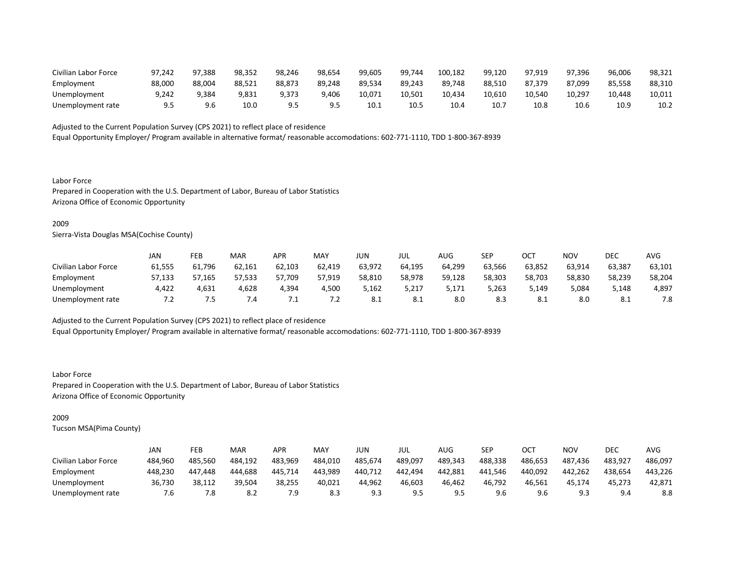| Civilian Labor Force | 97.242 | 97,388 | 98,352 | 98.246 | 98.654 | 99,605 | 99,744 | 100,182 | 99.120 | 97.919 | 97.396 | 96,006 | 98,321 |
|----------------------|--------|--------|--------|--------|--------|--------|--------|---------|--------|--------|--------|--------|--------|
| Employment           | 88,000 | 88,004 | 88,521 | 88,873 | 89,248 | 89,534 | 89,243 | 89,748  | 88,510 | 87,379 | 87,099 | 85,558 | 88,310 |
| Unemployment         | 9.242  | 9.384  | 9,831  | 9.373  | 9.406  | 10,071 | 10.501 | 10,434  | 10.610 | 10.540 | 10,297 | 10.448 | 10,011 |
| Unemployment rate    |        |        | 10.C   |        |        | 10.1   | 10.5   | 10.4    | 10.7   | 10.8   | 10.6   | 10.9   | 10.2   |

Equal Opportunity Employer/ Program available in alternative format/ reasonable accomodations: 602-771-1110, TDD 1-800-367-8939

Labor Force Prepared in Cooperation with the U.S. Department of Labor, Bureau of Labor Statistics Arizona Office of Economic Opportunity

### 2009

Sierra-Vista Douglas MSA(Cochise County)

|                      | JAN    | FEB    | <b>MAR</b> | APR    | MA۱    | JUN              | JUL                     | AUG    | <b>SEP</b> | <b>OCT</b><br>UC. | NOV    | <b>DEC</b> | <b>AVG</b> |
|----------------------|--------|--------|------------|--------|--------|------------------|-------------------------|--------|------------|-------------------|--------|------------|------------|
| Civilian Labor Force | 61,555 | 61,796 | 62,161     | 62,103 | 62,419 | 63,972           | 64,195                  | 64,299 | 63,566     | 63,852            | 63,914 | 63,387     | 63,101     |
| Employment           | 57,133 | 57,165 | 57,533     | 57,709 | 57,919 | 58,810           | 58,978                  | 59,128 | 58,303     | 58,703            | 58,830 | 58,239     | 58,204     |
| Unemployment         | 4,422  | 4,631  | 4,628      | 4,394  | 4,500  | 5,162            | 5,217                   | 5,171  | 5,263      | 5,149             | 5,084  | 5,148      | 4,897      |
| Unemployment rate    | $\sim$ | כ.     | 7.4        | . .    | $\sim$ | $\circ$ .<br>O.L | $\circ$ 1<br><b>8.1</b> | 8.0    | 8.3        | O.L               | 8.0    | O.L        | 7.8        |

Adjusted to the Current Population Survey (CPS 2021) to reflect place of residence

Equal Opportunity Employer/ Program available in alternative format/ reasonable accomodations: 602-771-1110, TDD 1-800-367-8939

Labor Force Prepared in Cooperation with the U.S. Department of Labor, Bureau of Labor Statistics Arizona Office of Economic Opportunity

# 2009

|                      | JAN     | <b>FEB</b> | <b>MAR</b> | APR     | MAY     | JUN     | JUL     | AUG     | <b>SEP</b> | ост     | NOV     | DEC     | AVG     |
|----------------------|---------|------------|------------|---------|---------|---------|---------|---------|------------|---------|---------|---------|---------|
| Civilian Labor Force | 484,960 | 485,560    | 484,192    | 483,969 | 484,010 | 485,674 | 489,097 | 489,343 | 488,338    | 486,653 | 487,436 | 483,927 | 486,097 |
| Employment           | 448,230 | 447.448    | 444.688    | 445.714 | 443.989 | 440.712 | 442.494 | 442,881 | 441.546    | 440.092 | 442.262 | 438.654 | 443.226 |
| Unemployment         | 36,730  | 38,112     | 39,504     | 38,255  | 40,021  | 44,962  | 46,603  | 46,462  | 46,792     | 46,561  | 45,174  | 45,273  | 42,871  |
| Unemployment rate    | 7.6     | 7.8        | 8.2        | 7.9     | 8.3     | 9.3     | 9.5     | qς<br>  | 9.6        | 9.6     | 9.3     | 9.4     | 8.8     |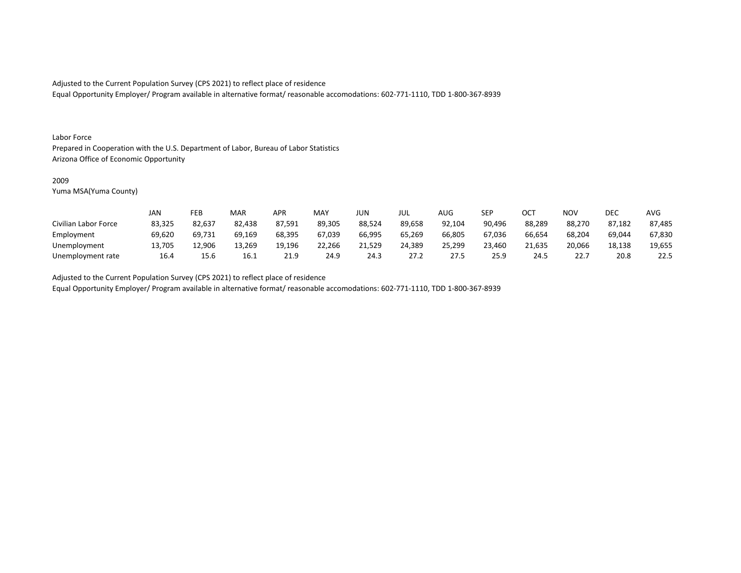Equal Opportunity Employer/ Program available in alternative format/ reasonable accomodations: 602-771-1110, TDD 1-800-367-8939

#### Labor Force

Prepared in Cooperation with the U.S. Department of Labor, Bureau of Labor Statistics Arizona Office of Economic Opportunity

### 2009

Yuma MSA(Yuma County)

|                      | JAN    | FEB    | MAR    | APR    | <b>MAY</b> | <b>JUN</b> | JUL    | <b>AUG</b> | <b>SEP</b> | ОСТ    | <b>NOV</b> | <b>DEC</b> | <b>AVG</b> |
|----------------------|--------|--------|--------|--------|------------|------------|--------|------------|------------|--------|------------|------------|------------|
| Civilian Labor Force | 83,325 | 82,637 | 82,438 | 87,591 | 89,305     | 88,524     | 89,658 | 92,104     | 90,496     | 88,289 | 88,270     | 87,182     | 87,485     |
| Employment           | 69,620 | 69,731 | 69,169 | 68,395 | 67,039     | 66,995     | 65,269 | 66,805     | 67.036     | 66,654 | 68,204     | 69,044     | 67,830     |
| Unemployment         | 13,705 | 12,906 | 13,269 | 19,196 | 22,266     | 21,529     | 24,389 | 25,299     | 23,460     | 21.635 | 20,066     | 18,138     | 19,655     |
| Unemployment rate    | 16.4   | 15.6   | 16.1   | 21.9   | 24.9       | 24.3       | 27.2   | 27.5       | 25.9       | 24.5   | 22.7       | 20.8       | 22.5       |

Adjusted to the Current Population Survey (CPS 2021) to reflect place of residence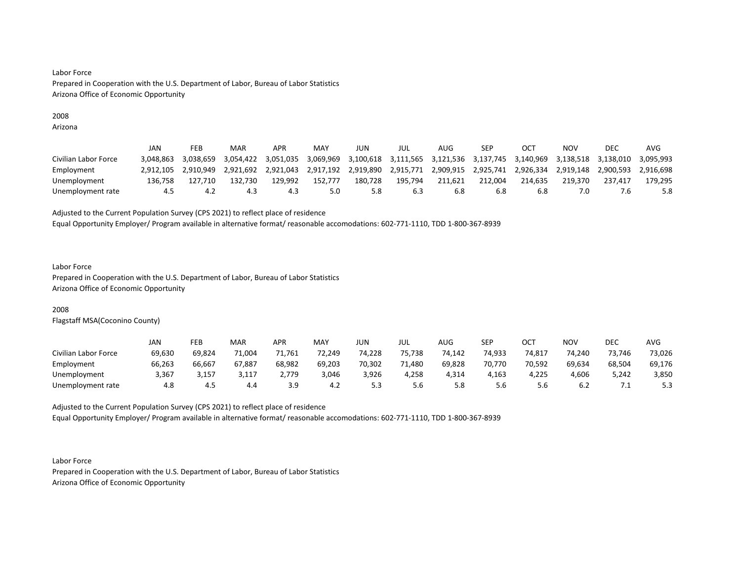# 2008

Arizona

|                      | JAN       | FEB       | MAR       | APR       | MAY       | JUN       | JUL                                               | AUG     | SEP                 |           | NOV       | DEC       | AVG       |
|----------------------|-----------|-----------|-----------|-----------|-----------|-----------|---------------------------------------------------|---------|---------------------|-----------|-----------|-----------|-----------|
| Civilian Labor Force | 3.048.863 | 3.038.659 | 3.054.422 | 3.051.035 | 3,069,969 |           | 3,100,618 3,111,565 3,121,536 3,137,745 3,140,969 |         |                     |           | 3.138.518 | 3.138.010 | 3.095.993 |
| Employment           | 2.912.105 | 2.910.949 | 2.921.692 | 2,921,043 | 2,917,192 | 2,919,890 | 2,915,771                                         |         | 2,909,915 2,925,741 | 2,926,334 | 2,919,148 | 2,900,593 | 2.916.698 |
| Unemployment         | 136.758   | 127.710   | 132.730   | 129.992   | 152.777   | 180.728   | 195.794                                           | 211.621 | 212.004             | 214.635   | 219.370   | 237.417   | 179.295   |
| Unemployment rate    | 4.5       | -4.2      | 4.3       | 4.3       | 5.0       | 5.8       | 6.3                                               |         | 6.8                 | 6.8       |           |           | 5.8       |

Adjusted to the Current Population Survey (CPS 2021) to reflect place of residence

Equal Opportunity Employer/ Program available in alternative format/ reasonable accomodations: 602-771-1110, TDD 1-800-367-8939

#### Labor Force

Prepared in Cooperation with the U.S. Department of Labor, Bureau of Labor Statistics Arizona Office of Economic Opportunity

# 2008

Flagstaff MSA(Coconino County)

|                      | JAN    | FEB    | MAR    | APR    | MAY    | JUN    | JUL    | <b>AUG</b> | <b>SEP</b> | ост    | <b>NOV</b> | <b>DEC</b> | <b>AVG</b> |
|----------------------|--------|--------|--------|--------|--------|--------|--------|------------|------------|--------|------------|------------|------------|
| Civilian Labor Force | 69,630 | 69,824 | 71,004 | 71,761 | 72,249 | 74,228 | 75,738 | 74,142     | 74,933     | 74,817 | 74,240     | 73,746     | 73,026     |
| Employment           | 66,263 | 66,667 | 67,887 | 68,982 | 69,203 | 70,302 | 71,480 | 69,828     | 70,770     | 70,592 | 69,634     | 68,504     | 69,176     |
| Unemployment         | 3,367  | 3,157  | 3,117  | 2,779  | 3,046  | 3,926  | 4,258  | 4,314      | 4,163      | 4,225  | 4,606      | 5,242      | 3,850      |
| Unemployment rate    | 4.8    | -4.5   | 4.4    | 3.9    | 4.2    | J.J    | 5.6    | 8.د        | 5.6        | 5.b    | 6.2        | .          | 5.3        |

Adjusted to the Current Population Survey (CPS 2021) to reflect place of residence Equal Opportunity Employer/ Program available in alternative format/ reasonable accomodations: 602-771-1110, TDD 1-800-367-8939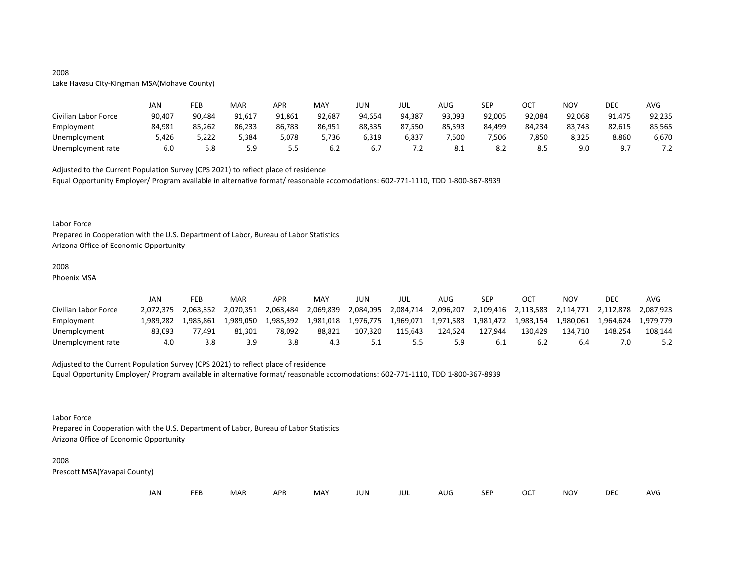# 2008

Lake Havasu City-Kingman MSA(Mohave County)

|                      | JAN    | FEB    | MAR    | APR    | MAY    | JUN    | JUL    | AUG        | SEP    | OCT    | NOV    | DEC    | <b>AVG</b> |
|----------------------|--------|--------|--------|--------|--------|--------|--------|------------|--------|--------|--------|--------|------------|
| Civilian Labor Force | 90,407 | 90,484 | 91,617 | 91,861 | 92,687 | 94,654 | 94,387 | 93,093     | 92,005 | 92,084 | 92,068 | 91,475 | 92,235     |
| Employment           | 84,981 | 85,262 | 86,233 | 86,783 | 86,951 | 88,335 | 87,550 | 85,593     | 84,499 | 84,234 | 83,743 | 82,615 | 85,565     |
| Unemployment         | 426,د  | 5,222  | 384,د  | 5,078  | 5,736  | 6,319  | 6,837  | 7,500      | ,506   | 7,850  | 8,325  | 8,860  | 6,670      |
| Unemployment rate    | 6.0    | 5.8    | 5.9    | ر.ر    | 6.2    | 6.7    | 7.2    | <b>O.L</b> | 8.2    | 0.3    | 9.0    | a -    | ے ،        |

Adjusted to the Current Population Survey (CPS 2021) to reflect place of residence

Equal Opportunity Employer/ Program available in alternative format/ reasonable accomodations: 602-771-1110, TDD 1-800-367-8939

#### Labor Force

Prepared in Cooperation with the U.S. Department of Labor, Bureau of Labor Statistics Arizona Office of Economic Opportunity

#### 2008

Phoenix MSA

|                      | JAN       | FEB       | MAR       | APR       | MAY       | JUN       | JUL       | AUG       | <b>SEP</b> | OC <sup>7</sup>     | NOV     | DEC                 | AVG       |
|----------------------|-----------|-----------|-----------|-----------|-----------|-----------|-----------|-----------|------------|---------------------|---------|---------------------|-----------|
| Civilian Labor Force | 2.072.375 | 2.063.352 | 2,070,351 | 2,063,484 | 2,069,839 | 2,084,095 | 2,084,714 | 2,096,207 |            | 2,109,416 2,113,583 |         | 2,114,771 2,112,878 | 2.087.923 |
| Employment           | 1.989.282 | 1.985.861 | 1.989.050 | 1.985.392 | 1.981.018 |           |           |           |            |                     |         | 1,980,061 1,964,624 | 1.979.779 |
| Unemployment         | 83.093    | 77.491    | 81.301    | 78.092    | 88.821    | 107.320   | 115.643   | 124.624   | 127.944    | 130.429             | 134.710 | 148.254             | 108.144   |
| Unemployment rate    | 4.0       | 3.8       | 3.9       |           |           |           |           |           |            |                     | 6.4     |                     |           |

# Adjusted to the Current Population Survey (CPS 2021) to reflect place of residence

Equal Opportunity Employer/ Program available in alternative format/ reasonable accomodations: 602-771-1110, TDD 1-800-367-8939

Labor Force

Prepared in Cooperation with the U.S. Department of Labor, Bureau of Labor Statistics Arizona Office of Economic Opportunity

#### 2008

| JAN | ᄄᄄ | <b>MAR</b> | <b>APR</b> | MAY | JUN | JUL | AUG | <b>SEF</b> | OCT | NOV | DEC | AVG |
|-----|----|------------|------------|-----|-----|-----|-----|------------|-----|-----|-----|-----|
|-----|----|------------|------------|-----|-----|-----|-----|------------|-----|-----|-----|-----|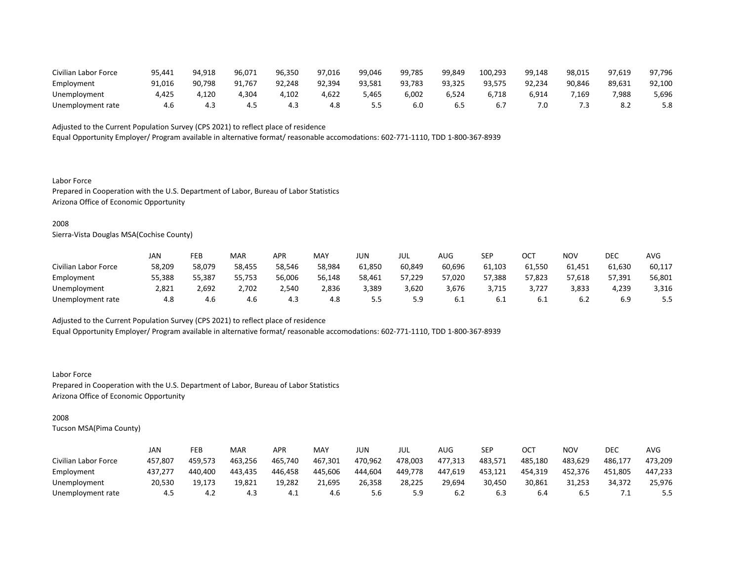| Civilian Labor Force | 95,441 | 94,918 | 96,071 | 96,350 | 97.016 | 99,046 | 99,785 | 99.849 | 100,293 | 99,148 | 98,015 | 97,619 | 97,796 |
|----------------------|--------|--------|--------|--------|--------|--------|--------|--------|---------|--------|--------|--------|--------|
| Employment           | 91.016 | 90.798 | 91.767 | 92.248 | 92.394 | 93.581 | 93,783 | 93.325 | 93,575  | 92,234 | 90,846 | 89,631 | 92,100 |
| Unemployment         | 4,425  | ,120   | 4,304  | 102,ا  | 4,622  | 5,465  | 6,002  | 6,524  | 6,718   | 6,914  | 1,169  | 7,988  | 5,696  |
| Unemployment rate    |        |        | 4.5    | 4.1    | 4.8    |        | 6.0    |        |         | 0.     | . .    |        | 5.8    |

Equal Opportunity Employer/ Program available in alternative format/ reasonable accomodations: 602-771-1110, TDD 1-800-367-8939

Labor Force Prepared in Cooperation with the U.S. Department of Labor, Bureau of Labor Statistics Arizona Office of Economic Opportunity

### 2008

Sierra-Vista Douglas MSA(Cochise County)

|                      | JAN    | <b>FEB</b> | MAR    | APR    | <b>MAY</b> | JUN    | JUL    | <b>AUG</b> | SEP    | ОСТ    | NOV    | <b>DEC</b> | AVG    |
|----------------------|--------|------------|--------|--------|------------|--------|--------|------------|--------|--------|--------|------------|--------|
| Civilian Labor Force | 58,209 | 58,079     | 58,455 | 58,546 | 58,984     | 61,850 | 60,849 | 60,696     | 61,103 | 61,550 | 61,451 | 61,630     | 60,117 |
| Employment           | 55,388 | 55,387     | 55,753 | 56,006 | 56,148     | 58,461 | 57,229 | 57,020     | 57,388 | 57,823 | 57,618 | 57,391     | 56,801 |
| Unemployment         | 2.821  | 2.692      | 2,702  | 2.540  | 2,836      | 3,389  | 3,620  | 3,676      | 3.715  | 3.727  | 3,833  | 4.239      | 3,316  |
| Unemployment rate    | 4.8    | 4.6        | 4.6    | 4.5    | 4.8        |        | 5.9    | 6.1        | -6.1   |        | 6.2    | 6.9        | 5.5    |

Adjusted to the Current Population Survey (CPS 2021) to reflect place of residence

Equal Opportunity Employer/ Program available in alternative format/ reasonable accomodations: 602-771-1110, TDD 1-800-367-8939

Labor Force Prepared in Cooperation with the U.S. Department of Labor, Bureau of Labor Statistics Arizona Office of Economic Opportunity

# 2008

|                      | JAN     | FEB     | <b>MAR</b> | APR     | <b>MAY</b> | JUN     | JUL     | AUG     | <b>SEP</b> | OCT     | NOV     | DEC     | <b>AVG</b> |
|----------------------|---------|---------|------------|---------|------------|---------|---------|---------|------------|---------|---------|---------|------------|
| Civilian Labor Force | 457,807 | 459.573 | 463,256    | 465,740 | 467,301    | 470.962 | 478,003 | 477.313 | 483,571    | 485.180 | 483,629 | 486,177 | 473,209    |
| Employment           | 437,277 | 440.400 | 443,435    | 446.458 | 445,606    | 444,604 | 449,778 | 447,619 | 453,121    | 454,319 | 452,376 | 451.805 | 447,233    |
| Unemployment         | 20,530  | 19.173  | 19,821     | 19,282  | 21,695     | 26,358  | 28,225  | 29,694  | 30,450     | 30,861  | 31,253  | 34,372  | 25,976     |
| Unemployment rate    | 4.5     | 4.Z     | 4.3        | 4.⊥     | 4.6        | 5.6     | 5.9     | .∠ ხ    | 6.3        | 6.4     | 6.5     | . .     | 5.5        |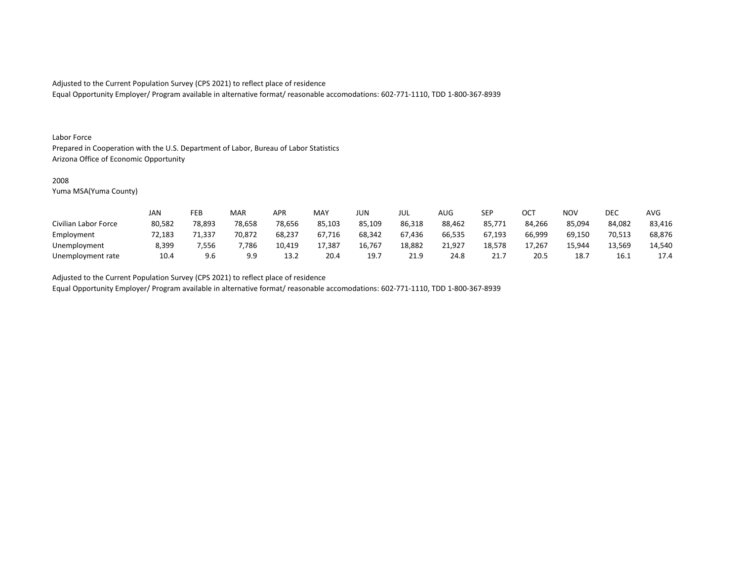Equal Opportunity Employer/ Program available in alternative format/ reasonable accomodations: 602-771-1110, TDD 1-800-367-8939

#### Labor Force

Prepared in Cooperation with the U.S. Department of Labor, Bureau of Labor Statistics Arizona Office of Economic Opportunity

### 2008

Yuma MSA(Yuma County)

|                      | JAN    | FEB    | <b>MAR</b> | APR    | <b>MAY</b> | JUN    | JUL    | AUG    | SEP    | ОСТ    | NOV    | DEC    | AVG    |
|----------------------|--------|--------|------------|--------|------------|--------|--------|--------|--------|--------|--------|--------|--------|
| Civilian Labor Force | 80,582 | 78,893 | 78,658     | 78,656 | 85,103     | 85,109 | 86,318 | 88,462 | 85,771 | 84,266 | 85,094 | 84,082 | 83,416 |
| Employment           | 72,183 | 71,337 | 70,872     | 68,237 | 67,716     | 68,342 | 67,436 | 66,535 | 67,193 | 66,999 | 69,150 | 70,513 | 68,876 |
| Unemployment         | 8,399  | 556,   | 7,786      | 10,419 | 17,387     | 16,767 | 18,882 | 21,927 | 18,578 | 17,267 | 15.944 | 13,569 | 14,540 |
| Unemployment rate    | 10.4   | 9.6    | 9.9        | 13.2   | 20.4       | 19.    | 21.9   | 24.8   | 21.7   | 20.5   | 18.7   | 16.1   | 17.4   |

Adjusted to the Current Population Survey (CPS 2021) to reflect place of residence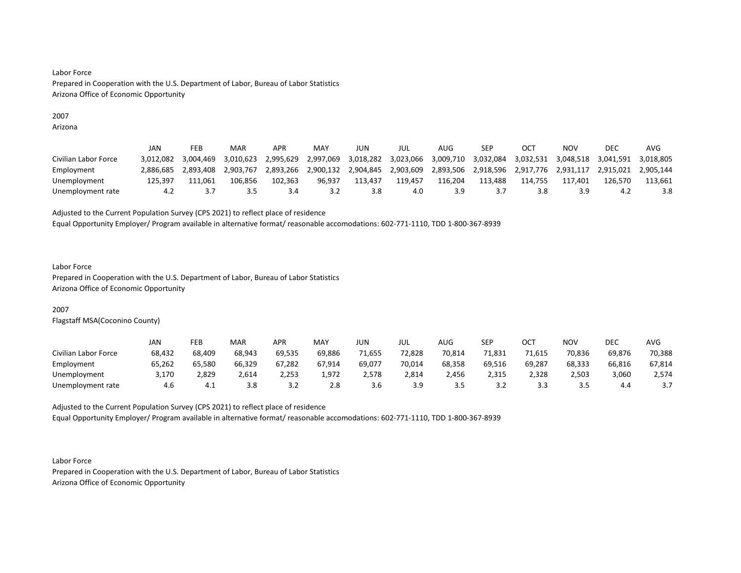# 2007

Arizona

|                      | JAN       | FEB       | MAR       | APR       | MAY       | JUN       | jul       | AUG       | SEP       |           | NOV       | DEC       | AVG       |
|----------------------|-----------|-----------|-----------|-----------|-----------|-----------|-----------|-----------|-----------|-----------|-----------|-----------|-----------|
| Civilian Labor Force | 3.012.082 | 3,004,469 | 3.010.623 | 2,995,629 | 2,997,069 | 3,018,282 | 3,023,066 | 3,009,710 | 3,032,084 | 3,032,531 | 3,048,518 | 3,041,591 | 3.018.805 |
| Employment           | 2.886.685 | 2,893,408 | 2.903.767 | 2,893,266 | 2,900,132 | 2,904,845 | 2,903,609 | 2,893,506 | 2,918,596 | 2,917,776 | 2,931,117 | 2,915,021 | 2.905.144 |
| Unemployment         | 125.397   | '11.061   | 106.856   | 102.363   | 96.937    | 113.437   | 119.457   | 116.204   | 113.488   | 114.755   | 117.401   | 126.570   | 113.661   |
| Unemployment rate    |           |           | 3.5       | 3.4       |           | 3.8       | 4.0       | 3.9       |           |           | 3.9       | ے.4       | 3.8       |

Adjusted to the Current Population Survey (CPS 2021) to reflect place of residence

Equal Opportunity Employer/ Program available in alternative format/ reasonable accomodations: 602-771-1110, TDD 1-800-367-8939

#### Labor Force

Prepared in Cooperation with the U.S. Department of Labor, Bureau of Labor Statistics Arizona Office of Economic Opportunity

# 2007

Flagstaff MSA(Coconino County)

|                      | JAN    | FEB    | <b>MAR</b> | <b>APR</b> | MAY    | JUN    | JUL    | AUG    | <b>SEP</b> | ост    | <b>NOV</b> | <b>DEC</b> | <b>AVG</b> |
|----------------------|--------|--------|------------|------------|--------|--------|--------|--------|------------|--------|------------|------------|------------|
| Civilian Labor Force | 68,432 | 68,409 | 68,943     | 69,535     | 69,886 | 71,655 | 72,828 | 70,814 | 71,831     | 71,615 | 70,836     | 69,876     | 70,388     |
| Employment           | 65,262 | 65,580 | 66,329     | 67,282     | 67.914 | 69,077 | 70,014 | 68,358 | 69,516     | 69,287 | 68,333     | 66,816     | 67,814     |
| Unemployment         | 3,170  | 2,829  | 2,614      | 2,253      | 1,972  | 2,578  | 2,814  | 2,456  | 2,315      | 2,328  | 2,503      | 3,060      | 2,574      |
| Unemployment rate    | 4.6    |        | 3.8        | ے . ۔      | 2.8    | 3.6    | 3.9    |        | 3.Z        |        | ≺ ∽<br>    | 4.4        | .          |

Adjusted to the Current Population Survey (CPS 2021) to reflect place of residence Equal Opportunity Employer/ Program available in alternative format/ reasonable accomodations: 602-771-1110, TDD 1-800-367-8939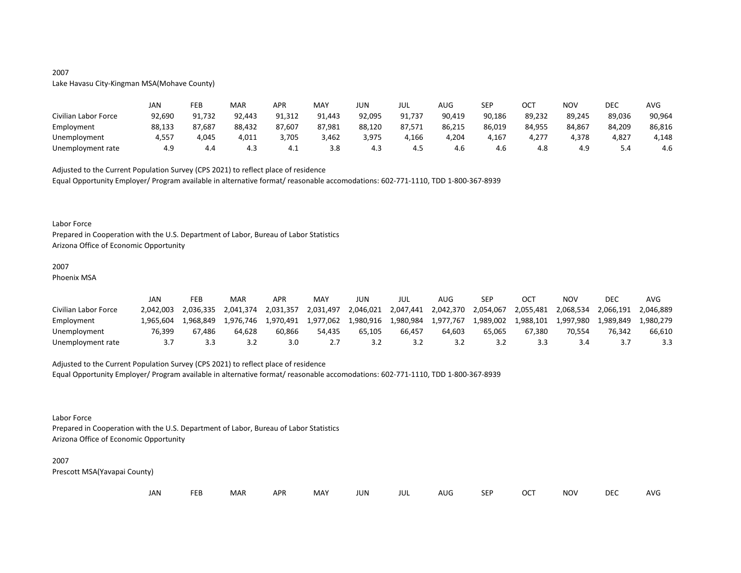# Lake Havasu City-Kingman MSA(Mohave County)

|                      | JAN    | FEB    | MAR    | APR    | MAY    | JUN    | JUL    | AUG    | <b>SEP</b> | ост    | NOV    | DEC    | AVG    |
|----------------------|--------|--------|--------|--------|--------|--------|--------|--------|------------|--------|--------|--------|--------|
| Civilian Labor Force | 92,690 | 91,732 | 92,443 | 91,312 | 91.443 | 92,095 | 91,737 | 90,419 | 90,186     | 89,232 | 89,245 | 89,036 | 90,964 |
| Employment           | 88,133 | 87,687 | 88,432 | 87,607 | 87,981 | 88,120 | 87,571 | 86,215 | 86,019     | 84.955 | 84.867 | 84,209 | 86,816 |
| Unemployment         | 4,557  | 4,045  | 4,011  | 3,705  | 3,462  | 3,975  | 4,166  | 4,204  | 4,167      | 4,277  | 4,378  | 4,827  | 4,148  |
| Unemployment rate    | 4.9    | 4.4    | 4.3    | —4.⊥   | 3.8    | 4.3    | 4.5    | 4.b    | 4.6        | 4.0    | 4.9    | 4.د    | -4.6   |

Adjusted to the Current Population Survey (CPS 2021) to reflect place of residence Equal Opportunity Employer/ Program available in alternative format/ reasonable accomodations: 602-771-1110, TDD 1-800-367-8939

#### Labor Force

Prepared in Cooperation with the U.S. Department of Labor, Bureau of Labor Statistics Arizona Office of Economic Opportunity

# 2007

Phoenix MSA

|                      | JAN       | FEB       | MAR       | <b>APR</b> | MA <sup>V</sup> | JUN       | JUL       | AUG       | SEP       | ост       | NOV       | <b>DEC</b> | AVG       |
|----------------------|-----------|-----------|-----------|------------|-----------------|-----------|-----------|-----------|-----------|-----------|-----------|------------|-----------|
| Civilian Labor Force | 2.042.003 | 2.036.335 | 2.041.374 | 2.031.357  | 2,031,497       | 2,046,021 | 2,047,441 | 2,042,370 | 2,054,067 | 2,055,481 | 2,068,534 | 2,066,191  | 2.046.889 |
| Employment           | .965.604  | 1.968.849 | 1.976.746 | 1.970.491  | 1,977,062       | 1,980,916 | 1,980,984 | 1,977,767 | 1,989,002 | 1,988,101 | 1,997,980 | 1,989,849  | .980.279  |
| Unemployment         | 76,399    | 67.486    | 64.628    | 60,866     | 54.435          | 65.105    | 66,457    | 64.603    | 65.065    | 67.380    | 70.554    | 76,342     | 66,610    |
| Unemployment rate    |           |           | ے. ب      | 3.0        |                 |           | 3.2       |           |           |           | 3.4       |            |           |

#### Adjusted to the Current Population Survey (CPS 2021) to reflect place of residence

Equal Opportunity Employer/ Program available in alternative format/ reasonable accomodations: 602-771-1110, TDD 1-800-367-8939

### Labor Force

Prepared in Cooperation with the U.S. Department of Labor, Bureau of Labor Statistics Arizona Office of Economic Opportunity

#### 2007

Prescott MSA(Yavapai County)

| JAN |  | <b>FEB</b> | MAR | <b>APR</b> | MAY | JUN | JUL | AUG | <b>SEP</b> | <b>OCT</b> | <b>NOV</b> | <b>DEC</b> | AVG |
|-----|--|------------|-----|------------|-----|-----|-----|-----|------------|------------|------------|------------|-----|
|-----|--|------------|-----|------------|-----|-----|-----|-----|------------|------------|------------|------------|-----|

# 2007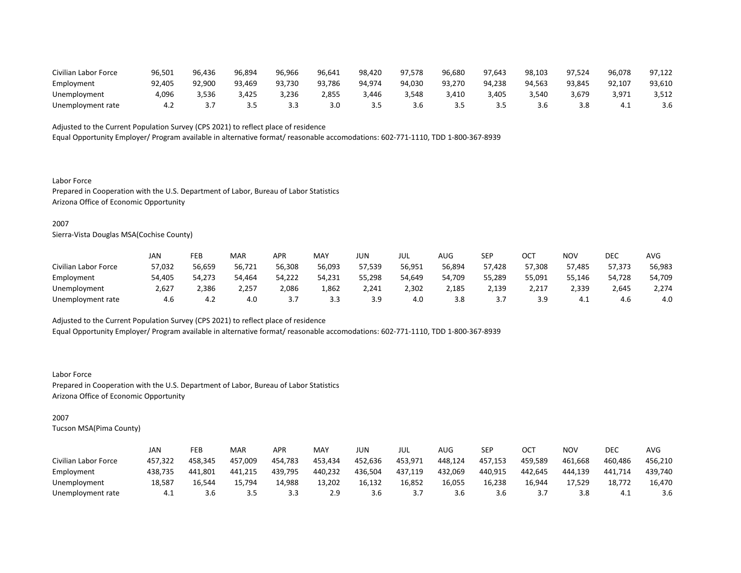| Civilian Labor Force | 96,501 | 96,436 | 96,894 | 96,966 | 96,641 | 98,420 | 97.578 | 96.680 | 97.643 | 98,103 | 97.524 | 96,078 | 97,122 |
|----------------------|--------|--------|--------|--------|--------|--------|--------|--------|--------|--------|--------|--------|--------|
| Employment           | 92,405 | 92,900 | 93,469 | 93,730 | 93,786 | 94.974 | 94,030 | 93,270 | 94.238 | 94,563 | 93.845 | 92,107 | 93,610 |
| Unemployment         | 4.096  | ,536   | 3.425  | 3,236  | 2.855  | 3.446  | 3,548  | 3.410  | 3,405  | 3,540  | 5,679  | 3,971  | 3,512  |
| Unemployment rate    |        |        |        |        | 3.0    |        | 3.6    |        | ---    |        | 3.8    | —4.⊥   | 3.6    |

Equal Opportunity Employer/ Program available in alternative format/ reasonable accomodations: 602-771-1110, TDD 1-800-367-8939

Labor Force Prepared in Cooperation with the U.S. Department of Labor, Bureau of Labor Statistics Arizona Office of Economic Opportunity

### 2007

Sierra-Vista Douglas MSA(Cochise County)

|                      | JAN    | FEB    | <b>MAR</b> | APR      | MAY    | JUN    | JUL    | AUG    | <b>SEP</b> | ОСТ    | <b>NOV</b> | DEC    | <b>AVG</b> |
|----------------------|--------|--------|------------|----------|--------|--------|--------|--------|------------|--------|------------|--------|------------|
| Civilian Labor Force | 57,032 | 56,659 | 56,721     | 56,308   | 56,093 | 57,539 | 56,951 | 56,894 | 57,428     | 57,308 | 57.485     | 57,373 | 56,983     |
| Employment           | 54,405 | 54,273 | 54,464     | 54,222   | 54,231 | 55,298 | 54,649 | 54,709 | 55,289     | 55,091 | 55,146     | 54,728 | 54,709     |
| Unemployment         | 2,627  | 2,386  | 2,257      | 2,086    | 1,862  | 2,241  | 2,302  | 2,185  | 2,139      | 2,217  | 2,339      | 2,645  | 2,274      |
| Unemployment rate    | 4.6    | 4.2    | 4.0        | <u>.</u> | 3.3    | 3.9    | 4.0    | 3.8    | <u>.</u>   | 3.9    | 4.1        | 4.6    | 4.0        |

Adjusted to the Current Population Survey (CPS 2021) to reflect place of residence

Equal Opportunity Employer/ Program available in alternative format/ reasonable accomodations: 602-771-1110, TDD 1-800-367-8939

Labor Force Prepared in Cooperation with the U.S. Department of Labor, Bureau of Labor Statistics Arizona Office of Economic Opportunity

# 2007

|                      | JAN     | FEB     | MAR     | APR     | MA۱     | JUN     | JUL     | AUG     | SEP     | ОСТ     | NOV     | DEC     | AVG     |
|----------------------|---------|---------|---------|---------|---------|---------|---------|---------|---------|---------|---------|---------|---------|
| Civilian Labor Force | 457.322 | 458.345 | 457,009 | 454,783 | 453,434 | 452.636 | 453,971 | 448.124 | 457,153 | 459.589 | 461,668 | 460.486 | 456,210 |
| Employment           | 438,735 | 441,801 | 441.215 | 439,795 | 440,232 | 436,504 | 437,119 | 432,069 | 440,915 | 442.645 | 444,139 | 441,714 | 439,740 |
| Unemployment         | 18.587  | 16.544  | 15.794  | 14,988  | 13.202  | 16.132  | 16,852  | 16,055  | 16,238  | 16,944  | 17.529  | 18,772  | 16,470  |
| Unemployment rate    | - 4.⊥   | 3.6     | 3.5     | ر.ر     | 2.9     | 3.b     |         | 3.O     | 3.6     |         | 3.8     | 4.1     | 3.6     |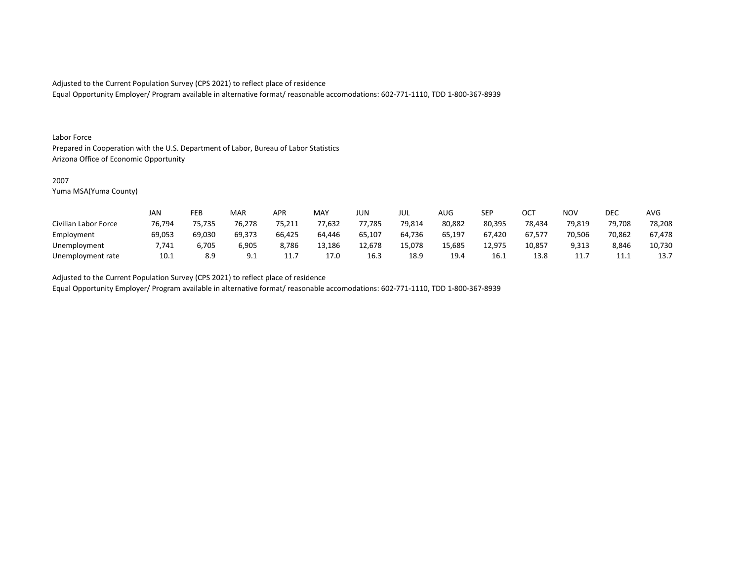Equal Opportunity Employer/ Program available in alternative format/ reasonable accomodations: 602-771-1110, TDD 1-800-367-8939

#### Labor Force

Prepared in Cooperation with the U.S. Department of Labor, Bureau of Labor Statistics Arizona Office of Economic Opportunity

### 2007

Yuma MSA(Yuma County)

|                      | <b>JAN</b> | FEB    | MAR    | APR      | <b>MAY</b> | <b>JUN</b> | JUL    | <b>AUG</b> | <b>SEP</b> | OCT    | <b>NOV</b> | DEC    | <b>AVG</b> |
|----------------------|------------|--------|--------|----------|------------|------------|--------|------------|------------|--------|------------|--------|------------|
| Civilian Labor Force | 76,794     | 75,735 | 76,278 | 75,211   | 77,632     | 77,785     | 79,814 | 80,882     | 80,395     | 78,434 | 79,819     | 79,708 | 78,208     |
| Employment           | 69,053     | 69,030 | 69,373 | 66,425   | 64.446     | 65,107     | 64,736 | 65,197     | 67.420     | 67,577 | 70,506     | 70,862 | 67,478     |
| Unemployment         | 7,741      | 6,705  | 6,905  | 8,786    | 13,186     | 12.678     | 15.078 | 15,685     | 12.975     | 10,857 | 9,313      | 8,846  | 10,730     |
| Unemployment rate    | 10.1       | 8.9    | 9.1    | <b>.</b> | 17.0       | 16.3       | 18.9   | 19.4       | 16.1       | 13.8   | <b>.</b>   | .      | 13.7       |

Adjusted to the Current Population Survey (CPS 2021) to reflect place of residence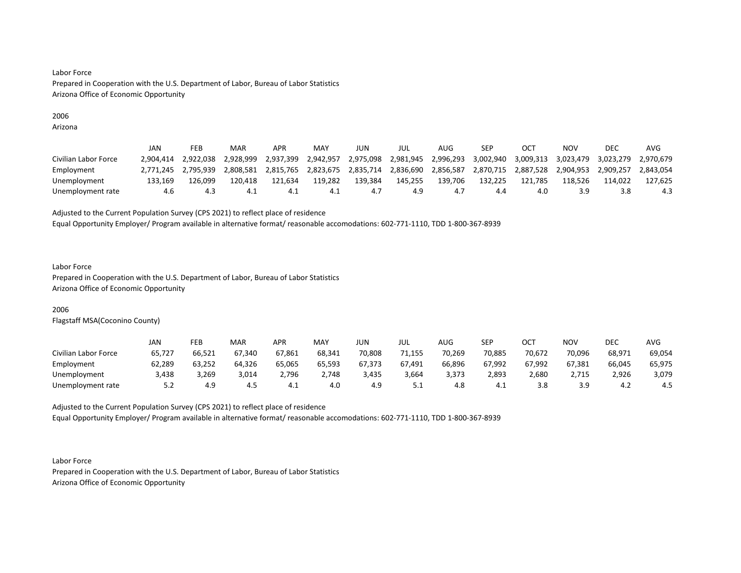# 2006

Arizona

|                      | JAN       | FEB       | MAR       | APR       | MAY       | JUN       | jul       | AUG       | SEP       |           | NOV       | DEC       | AVG       |
|----------------------|-----------|-----------|-----------|-----------|-----------|-----------|-----------|-----------|-----------|-----------|-----------|-----------|-----------|
| Civilian Labor Force | 2.904.414 | 2,922,038 | 2.928.999 | 2,937,399 | 2,942,957 | 2,975,098 | 2,981,945 | 2,996,293 | 3,002,940 | 3,009,313 | 3,023,479 | 3,023,279 | 2.970.679 |
| Employment           | 2.771.245 | 2.795.939 | 2.808.581 | 2,815,765 | 2,823,675 | 2,835,714 | 2,836,690 | 2,856,587 | 2,870,715 | 2,887,528 | 2.904.953 | 2,909,257 | 2,843,054 |
| Unemployment         | 133.169   | L26.099   | 120.418   | 121.634   | 119,282   | 139.384   | 145,255   | 139.706   | 132.225   | 121.785   | 118.526   | 114.022   | 127.625   |
| Unemployment rate    | 4.6       | د.4       | -4.1      | 4.1       | 4.1       | 4.,       | 4.9       | 4. .      | 4.4       | 4.0       | 3.9       | 3.8       | 4.3       |

Adjusted to the Current Population Survey (CPS 2021) to reflect place of residence

Equal Opportunity Employer/ Program available in alternative format/ reasonable accomodations: 602-771-1110, TDD 1-800-367-8939

### Labor Force

Prepared in Cooperation with the U.S. Department of Labor, Bureau of Labor Statistics Arizona Office of Economic Opportunity

# 2006

Flagstaff MSA(Coconino County)

|                      | JAN    | FEB    | <b>MAR</b> | APR    | MAY    | JUN    | JUL    | AUG    | <b>SED</b><br>ᇰᄂᆝ | ост    | NOV    | DEC    | AVG    |
|----------------------|--------|--------|------------|--------|--------|--------|--------|--------|-------------------|--------|--------|--------|--------|
| Civilian Labor Force | 65,727 | 66,521 | 67,340     | 67,861 | 68,341 | 70,808 | 71,155 | 70,269 | 70,885            | 70,672 | 70,096 | 68,971 | 69,054 |
| Employment           | 62,289 | 63,252 | 64,326     | 65,065 | 65,593 | 67,373 | 67,491 | 66,896 | 67,992            | 67,992 | 67,381 | 66,045 | 65,975 |
| Unemployment         | 3,438  | 3,269  | 3,014      | 2,796  | 2,748  | 3,435  | 3,664  | 3,373  | 2,893             | 2,680  | 2,715  | 2,926  | 3,079  |
| Unemployment rate    | 5.2    | 4.9    | 4.5        | 4.⊥    | 4.0    | 4.9    | ـ . ـ  | 4.8    | 4.1               |        | 3.9    | 4.∠    | 4.5    |

Adjusted to the Current Population Survey (CPS 2021) to reflect place of residence Equal Opportunity Employer/ Program available in alternative format/ reasonable accomodations: 602-771-1110, TDD 1-800-367-8939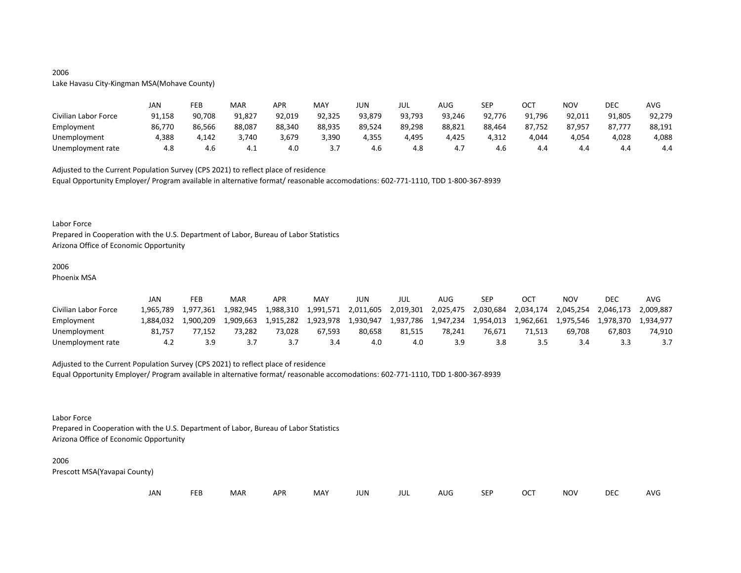# 2006

# Lake Havasu City-Kingman MSA(Mohave County)

|                      | JAN    | FEB    | MAR    | <b>APR</b> | MAY    | JUN    | JUL    | AUG    | <b>SEP</b> | ост    | NOV    | <b>DEC</b> | <b>AVG</b> |
|----------------------|--------|--------|--------|------------|--------|--------|--------|--------|------------|--------|--------|------------|------------|
| Civilian Labor Force | 91,158 | 90,708 | 91,827 | 92,019     | 92,325 | 93,879 | 93,793 | 93,246 | 92,776     | 91,796 | 92,011 | 91,805     | 92,279     |
| Employment           | 86,770 | 86,566 | 88,087 | 88,340     | 88,935 | 89,524 | 89,298 | 88,821 | 88,464     | 87,752 | 87,957 | 87,777     | 88,191     |
| Unemployment         | 4,388  | 4,142  | 3,740  | 3,679      | 3,390  | 4,355  | 4,495  | 4,425  | 4,312      | 4,044  | 4,054  | 4,028      | 4,088      |
| Unemployment rate    | 4.8    | 4.6    | ⊥. +   | 4.0        |        | 4.6    | 4.8    | 4.,    | 4.6        | 4.4    | 4.4    | 4.4        | 4.4        |

Adjusted to the Current Population Survey (CPS 2021) to reflect place of residence

Equal Opportunity Employer/ Program available in alternative format/ reasonable accomodations: 602-771-1110, TDD 1-800-367-8939

#### Labor Force

Prepared in Cooperation with the U.S. Department of Labor, Bureau of Labor Statistics Arizona Office of Economic Opportunity

# 2006

Phoenix MSA

|                      | JAN       | FEB       | MAR       | APR       | MAY       | JUN       | JUL       | AUG.      | SEP       | OCT       | NOV       | <b>DEC</b> | AVG       |
|----------------------|-----------|-----------|-----------|-----------|-----------|-----------|-----------|-----------|-----------|-----------|-----------|------------|-----------|
| Civilian Labor Force | 1.965.789 | 1.977.361 | 1.982.945 | 1,988,310 | 1.991.571 | 2,011,605 | 2,019,301 | 2,025,475 | 2,030,684 | 2,034,174 | 2.045.254 | 2.046.173  | 2.009.887 |
| Employment           | 1.884.032 | 1.900.209 | 1,909,663 | 1,915,282 | 1,923,978 | 1,930,947 | 1,937,786 | 1,947,234 | 1,954,013 | 1,962,661 | 1,975,546 | 1,978,370  | 1.934.977 |
| Unemployment         | 81.757    | 77.152    | 73.282    | 73.028    | 67.593    | 80.658    | 81.515    | 78.241    | 76.671    | 71.513    | 69.708    | 67.803     | 74,910    |
| Unemployment rate    | 4.2       |           |           |           | 3.4       | 4.0       | 4.0       |           | 3.8       |           |           |            |           |

# Adjusted to the Current Population Survey (CPS 2021) to reflect place of residence

Equal Opportunity Employer/ Program available in alternative format/ reasonable accomodations: 602-771-1110, TDD 1-800-367-8939

#### Labor Force

Prepared in Cooperation with the U.S. Department of Labor, Bureau of Labor Statistics Arizona Office of Economic Opportunity

#### 2006

| JAN<br><b>FEB</b><br><b>OCT</b><br>MAR<br>MAY<br><b>APR</b><br><b>NOV</b><br>JUN<br><b>SEP</b><br>AUG<br>jul |  |  |  |  |  |  |  |  |  |  |  | DEC | <b>AVG</b> |
|--------------------------------------------------------------------------------------------------------------|--|--|--|--|--|--|--|--|--|--|--|-----|------------|
|--------------------------------------------------------------------------------------------------------------|--|--|--|--|--|--|--|--|--|--|--|-----|------------|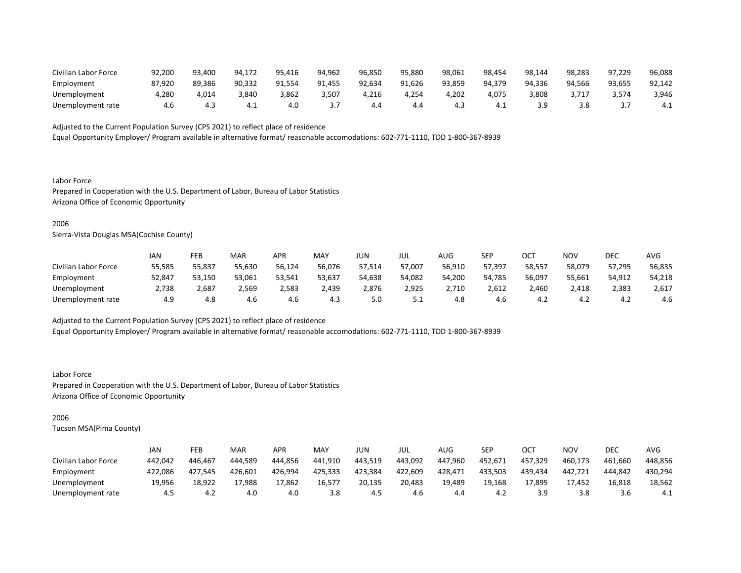| Civilian Labor Force | 92,200 | 93.400 | 94.172 | 95,416 | 94,962 | 96,850 | 95,880 | 98,061 | 98,454 | 98,144 | 98,283 | 97,229 | 96,088 |
|----------------------|--------|--------|--------|--------|--------|--------|--------|--------|--------|--------|--------|--------|--------|
| Employment           | 87.920 | 89.386 | 90,332 | 91,554 | 91,455 | 92,634 | 91,626 | 93.859 | 94.379 | 94.336 | 94.566 | 93,655 | 92,142 |
| Unemployment         | 280,ا  | 4,014  | 3,840  | 3,862  | 3,507  | 4,216  | 4,254  | 202,ا  | 4,075  | 8,808  |        | 3,574  | 3,946  |
| Unemployment rate    |        | 4.1    | 4.1    | 4.0    |        | 4.4    | 4.4    |        | 4.⊥    |        | 3.8    |        | 4.1    |

Equal Opportunity Employer/ Program available in alternative format/ reasonable accomodations: 602-771-1110, TDD 1-800-367-8939

Labor Force Prepared in Cooperation with the U.S. Department of Labor, Bureau of Labor Statistics Arizona Office of Economic Opportunity

### 2006

Sierra-Vista Douglas MSA(Cochise County)

|                      | JAN    | FEB    | <b>MAR</b> | APR    | <b>MAY</b> | JUN    | JUL    | AUG    | <b>SEP</b> | OCT    | NOV    | DEC    | AVG    |
|----------------------|--------|--------|------------|--------|------------|--------|--------|--------|------------|--------|--------|--------|--------|
| Civilian Labor Force | 55,585 | 55,837 | 55,630     | 56,124 | 56,076     | 57,514 | 57,007 | 56,910 | 57,397     | 58,557 | 58,079 | 57,295 | 56,835 |
| Employment           | 52,847 | 53.150 | 53,061     | 53,541 | 53,637     | 54,638 | 54,082 | 54,200 | 54.785     | 56,097 | 55,661 | 54,912 | 54,218 |
| Unemployment         | 2,738  | 2,687  | 2,569      | 2,583  | 2,439      | 2,876  | 2,925  | 2,710  | 2,612      | 2,460  | 2,418  | 2,383  | 2,617  |
| Unemployment rate    | 4.9    | 4.8    | 4.6        | 4.6    | 4.3        | 5.0    | ــ.    | 4.8    | 4.6        | 4.2    | 4.2    | 4.2    | 4.6    |

Adjusted to the Current Population Survey (CPS 2021) to reflect place of residence

Equal Opportunity Employer/ Program available in alternative format/ reasonable accomodations: 602-771-1110, TDD 1-800-367-8939

Labor Force Prepared in Cooperation with the U.S. Department of Labor, Bureau of Labor Statistics Arizona Office of Economic Opportunity

# 2006

|                      | JAN     | FEB     | <b>MAR</b> | APR     | MAY     | JUN     | JUL     | AUG     | SEP     | OCT     | NOV     | DEC     | AVG     |
|----------------------|---------|---------|------------|---------|---------|---------|---------|---------|---------|---------|---------|---------|---------|
| Civilian Labor Force | 442.042 | 446.467 | 444.589    | 444.856 | 441.910 | 443,519 | 443.092 | 447.960 | 452,671 | 457.329 | 460,173 | 461.660 | 448,856 |
| Employment           | 422,086 | 427,545 | 426,601    | 426,994 | 425,333 | 423,384 | 422,609 | 428,471 | 433,503 | 439,434 | 442,721 | 444,842 | 430,294 |
| Unemployment         | 19.956  | 18.922  | 17,988     | 17,862  | 16.577  | 20,135  | 20,483  | 19.489  | 19.168  | 17,895  | 17.452  | 16,818  | 18,562  |
| Unemployment rate    | 4.5     | ے.4     | 4.0        | 4.0     | 3.8     | 4.5     | 4.6     | 4.4     | 4.2     | 3.9     | 3.8     | 3.O     | 4.1     |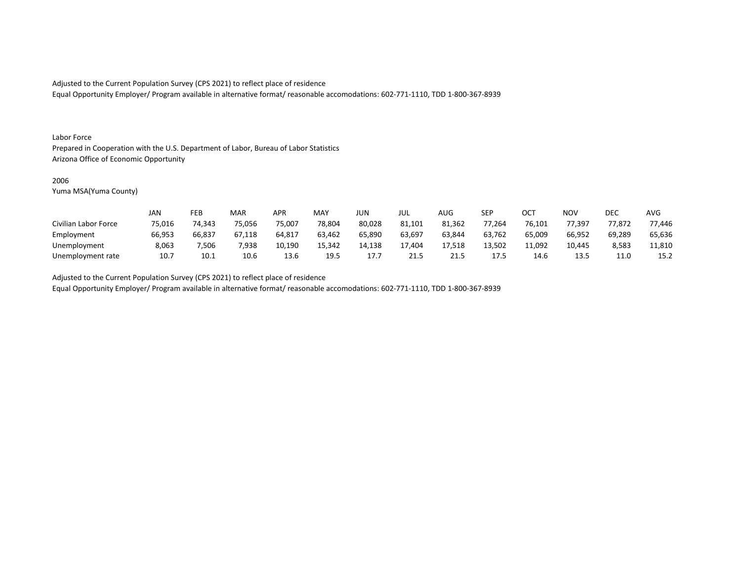Equal Opportunity Employer/ Program available in alternative format/ reasonable accomodations: 602-771-1110, TDD 1-800-367-8939

#### Labor Force

Prepared in Cooperation with the U.S. Department of Labor, Bureau of Labor Statistics Arizona Office of Economic Opportunity

### 2006

Yuma MSA(Yuma County)

|                      | <b>JAN</b> | FEB    | MAR    | APR    | <b>MAY</b> | <b>JUN</b> | JUL    | <b>AUG</b> | <b>SEP</b> | ОСТ    | <b>NOV</b> | DEC    | <b>AVG</b> |
|----------------------|------------|--------|--------|--------|------------|------------|--------|------------|------------|--------|------------|--------|------------|
| Civilian Labor Force | 75,016     | 74,343 | 75,056 | 75,007 | 78,804     | 80,028     | 81,101 | 81,362     | 77,264     | 76,101 | 77,397     | 77,872 | 77,446     |
| Employment           | 66,953     | 66,837 | 67,118 | 64,817 | 63,462     | 65,890     | 63,697 | 63,844     | 63,762     | 65,009 | 66,952     | 69,289 | 65,636     |
| Unemployment         | 8,063      | 7,506  | 7,938  | 10,190 | 15,342     | 14,138     | 17.404 | 17,518     | 13.502     | 11,092 | 10.445     | 8,583  | 11,810     |
| Unemployment rate    | 10.7       | 10.1   | 10.6   | 13.6   | 19.5       | 17         | 21.5   | 21.5       | 17.5       | 14.6   | 13.5       | 11.0   | 15.2       |

Adjusted to the Current Population Survey (CPS 2021) to reflect place of residence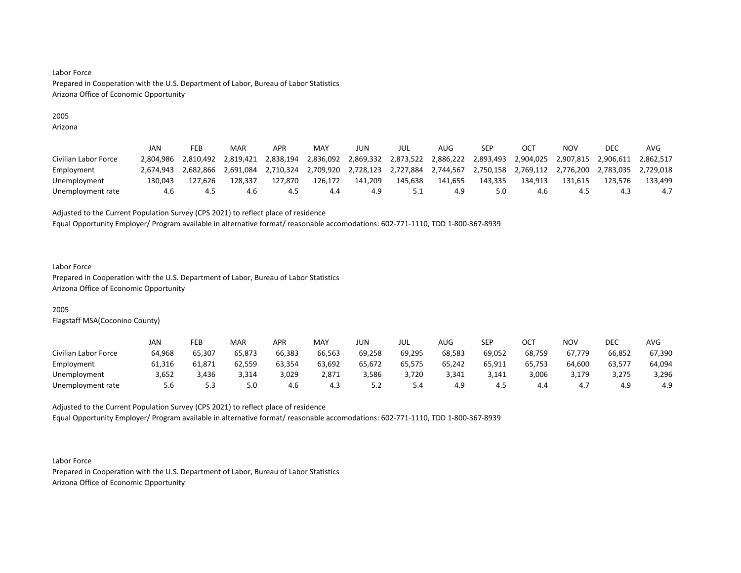# 2005

Arizona

|                      | JAN       | FEB       | <b>MAR</b> | APR       | MAY       | JUN       | JUL       | AUG       | SEP       |                               | NOV       | DEC       | AVG       |
|----------------------|-----------|-----------|------------|-----------|-----------|-----------|-----------|-----------|-----------|-------------------------------|-----------|-----------|-----------|
| Civilian Labor Force | 2.804.986 | 2.810.492 | 2.819.421  | 2,838,194 | 2,836,092 | 2,869,332 | 2,873,522 | 2,886,222 | 2,893,493 | 2,904,025                     | 2.907.815 | 2,906,611 | 2.862.517 |
| Employment           | 2.674.943 | 2.682.866 | 2,691,084  | 2,710,324 | 2,709,920 | 2,728,123 | 2,727,884 | 2,744,567 |           | 2,750,158 2,769,112 2,776,200 |           | 2,783,035 | 2.729.018 |
| Unemployment         | 130.043   | 127.626   | 128.337    | 127.870   | 126.172   | 141.209   | 145.638   | 141.655   | 143.335   | 134.913                       | 131.615   | 123.576   | 133.499   |
| Unemployment rate    | 4.6       |           | 4.6        | 4.5       | 4.4       | 4.9       |           |           | 5.0       | 4.6                           | 4.5       |           | 4.7       |

Adjusted to the Current Population Survey (CPS 2021) to reflect place of residence

Equal Opportunity Employer/ Program available in alternative format/ reasonable accomodations: 602-771-1110, TDD 1-800-367-8939

#### Labor Force

Prepared in Cooperation with the U.S. Department of Labor, Bureau of Labor Statistics Arizona Office of Economic Opportunity

# 2005

Flagstaff MSA(Coconino County)

|                      | JAN    | FEB    | <b>MAR</b> | <b>APR</b> | MAY    | JUN    | JUL    | AUG    | SEP    | ост    | NOV    | DEC    | AVG    |
|----------------------|--------|--------|------------|------------|--------|--------|--------|--------|--------|--------|--------|--------|--------|
| Civilian Labor Force | 64,968 | 65,307 | 65,873     | 66,383     | 66,563 | 69,258 | 69,295 | 68,583 | 69,052 | 68,759 | 67,779 | 66,852 | 67,390 |
| Employment           | 61,316 | 61,871 | 62,559     | 63,354     | 63,692 | 65,672 | 65,575 | 65,242 | 65,911 | 65,753 | 64,600 | 63,577 | 64,094 |
| Unemployment         | 3,652  | 3,436  | 3,314      | 3,029      | 2,871  | 3.586  | 3,720  | 3.341  | 3,141  | 3,006  | 3.179  | 3,275  | 3,296  |
| Unemployment rate    | 5.6    | ر.ر    | 5.0        | 4.6        | 4.3    | ے . ۔  | 4.د    | 4.9    | 4.5    | 4.4    | 4.,    | 4.9    | 4.9    |

Adjusted to the Current Population Survey (CPS 2021) to reflect place of residence Equal Opportunity Employer/ Program available in alternative format/ reasonable accomodations: 602-771-1110, TDD 1-800-367-8939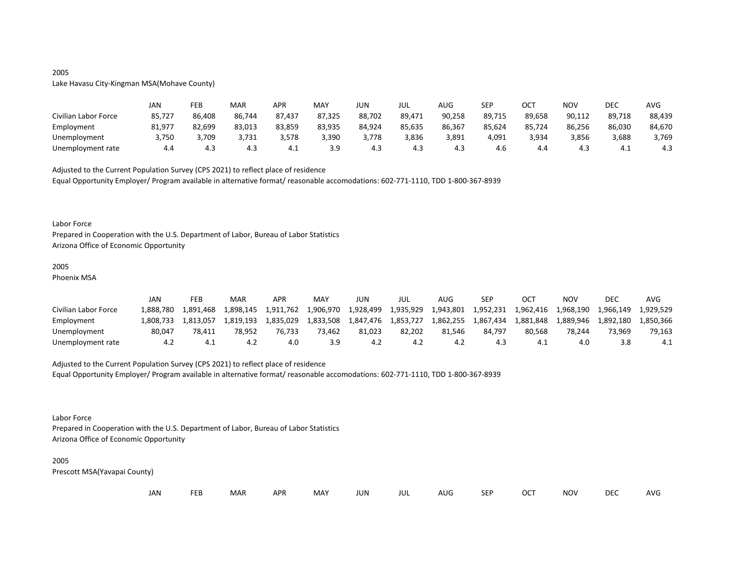# 2005

# Lake Havasu City-Kingman MSA(Mohave County)

|                      | JAN    | FEB    | MAR    | APR    | MAY    | JUN    | JUL    | <b>AUG</b> | <b>SEP</b> | ост    | <b>NOV</b> | DEC    | <b>AVG</b> |
|----------------------|--------|--------|--------|--------|--------|--------|--------|------------|------------|--------|------------|--------|------------|
| Civilian Labor Force | 85,727 | 86,408 | 86,744 | 87,437 | 87,325 | 88,702 | 89,471 | 90,258     | 89,715     | 89,658 | 90,112     | 89,718 | 88,439     |
| Employment           | 81,977 | 82,699 | 83,013 | 83,859 | 83,935 | 84,924 | 85,635 | 86,367     | 85,624     | 85,724 | 86,256     | 86,030 | 84,670     |
| Unemployment         | 3,750  | 3,709  | 3.731  | 3,578  | 3,390  | 3.778  | 3,836  | 3,891      | 4,091      | 3,934  | 3,856      | 3,688  | 3,769      |
| Unemployment rate    | 4.4    | 4.3    | 4.5    | 4.⊥    | 3.9    | 4.3    | 4.3    | 4.3        | 4.6        | 4.4    | 4.3        | 4.1    | 4.3        |

Adjusted to the Current Population Survey (CPS 2021) to reflect place of residence

Equal Opportunity Employer/ Program available in alternative format/ reasonable accomodations: 602-771-1110, TDD 1-800-367-8939

#### Labor Force

Prepared in Cooperation with the U.S. Department of Labor, Bureau of Labor Statistics Arizona Office of Economic Opportunity

# 2005

Phoenix MSA

|                      | JAN       | FEB       | MAR       | APR       | MAY       | JUN       | JUL       | AUG       | <b>SEP</b>          | OC <sup>7</sup> | NOV       | DEC       | AVG       |
|----------------------|-----------|-----------|-----------|-----------|-----------|-----------|-----------|-----------|---------------------|-----------------|-----------|-----------|-----------|
| Civilian Labor Force | 1.888.780 | 1.891.468 | 1,898,145 | 1,911,762 | 1,906,970 | 1,928,499 | 1,935,929 |           | 1,943,801 1,952,231 | 1,962,416       | 1,968,190 | 1,966,149 | 1.929.529 |
| Employment           | 1.808.733 | 1.813.057 | 1.819.193 | 1.835.029 | 1.833.508 | 1.847.476 | 1,853,727 | 1,862,255 | 1,867,434           | 1,881,848       | 1.889.946 | 1.892.180 | 1.850.366 |
| Unemployment         | 80.047    | 78.411    | 78.952    | 76.733    | 73.462    | 81.023    | 82.202    | 81.546    | 84.797              | 80.568          | 78.244    | 73.969    | 79,163    |
| Unemployment rate    |           |           |           | 4.0       | 3.9       |           | 4.2       |           |                     |                 | 4.0       |           | 4.1       |

# Adjusted to the Current Population Survey (CPS 2021) to reflect place of residence

Equal Opportunity Employer/ Program available in alternative format/ reasonable accomodations: 602-771-1110, TDD 1-800-367-8939

#### Labor Force

Prepared in Cooperation with the U.S. Department of Labor, Bureau of Labor Statistics Arizona Office of Economic Opportunity

#### 2005

| JAN<br><b>FEB</b><br><b>OCT</b><br>MAR<br>MAY<br><b>APR</b><br><b>NOV</b><br>JUN<br><b>SEP</b><br>AUG<br>jul |  |  |  |  |  |  |  |  |  |  |  | DEC | <b>AVG</b> |
|--------------------------------------------------------------------------------------------------------------|--|--|--|--|--|--|--|--|--|--|--|-----|------------|
|--------------------------------------------------------------------------------------------------------------|--|--|--|--|--|--|--|--|--|--|--|-----|------------|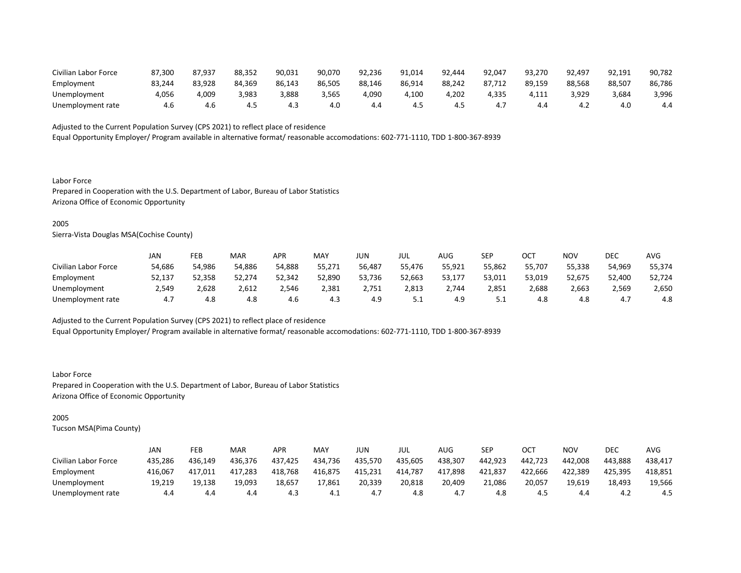| Civilian Labor Force | 87.300 | 87.937 | 88,352 | 90,031 | 90,070 | 92.236 | 91,014 | 92.444 | 92.047         | 93,270 | 92.497 | 92,191 | 90,782 |
|----------------------|--------|--------|--------|--------|--------|--------|--------|--------|----------------|--------|--------|--------|--------|
| Employment           | 83,244 | 83,928 | 84.369 | 86.143 | 86.505 | 88.146 | 86,914 | 88,242 | 87.712         | 89.159 | 88.568 | 88,507 | 86,786 |
| Unemployment         | 4,056  | 4,009  | 3,983  | 8,888  | 3,565  | 4,090  | 4.100  | .202   | 4,335          | 4.111  | 3,929  | 3,684  | 3,996  |
| Unemployment rate    | 4.6    | 4.b    | 4.5    |        | 4.0    | 4.4    | 4.5    | 4.3    | <sup>4.,</sup> | 4.4    | 4.∠    | 4.0    | 4.4    |

Equal Opportunity Employer/ Program available in alternative format/ reasonable accomodations: 602-771-1110, TDD 1-800-367-8939

Labor Force Prepared in Cooperation with the U.S. Department of Labor, Bureau of Labor Statistics Arizona Office of Economic Opportunity

### 2005

Sierra-Vista Douglas MSA(Cochise County)

|                      | JAN    | FEB    | <b>MAR</b> | APR    | MAY    | JUN    | JUL    | AUG    | SEP    | ОСТ    | <b>NOV</b> | DEC    | <b>AVG</b> |
|----------------------|--------|--------|------------|--------|--------|--------|--------|--------|--------|--------|------------|--------|------------|
| Civilian Labor Force | 54,686 | 54,986 | 54,886     | 54,888 | 55,271 | 56,487 | 55,476 | 55,921 | 55,862 | 55,707 | 55,338     | 54,969 | 55,374     |
| Employment           | 52,137 | 52,358 | 52,274     | 52,342 | 52,890 | 53,736 | 52,663 | 53,177 | 53,011 | 53,019 | 52,675     | 52,400 | 52,724     |
| Unemployment         | 2.549  | 2,628  | 2,612      | 2.546  | 2.381  | 2.751  | 2.813  | 2.744  | 2,851  | 2.688  | 2,663      | 2.569  | 2,650      |
| Unemployment rate    | 4.7    | 4.8    | 4.8        | 4.6    | 4.3    | 4.9    | ـ . ـ  | 4.9    | ـ . ـ  | 4.8    | 4.8        | 4.,    | 4.8        |

Adjusted to the Current Population Survey (CPS 2021) to reflect place of residence

Equal Opportunity Employer/ Program available in alternative format/ reasonable accomodations: 602-771-1110, TDD 1-800-367-8939

Labor Force Prepared in Cooperation with the U.S. Department of Labor, Bureau of Labor Statistics Arizona Office of Economic Opportunity

# 2005

|                      | JAN     | FEB     | <b>MAR</b> | APR     | MAY     | JUN     | JUL     | AUG     | SEP     | ОСТ     | NOV     | DEC     | AVG     |
|----------------------|---------|---------|------------|---------|---------|---------|---------|---------|---------|---------|---------|---------|---------|
| Civilian Labor Force | 435,286 | 436.149 | 436,376    | 437.425 | 434,736 | 435.570 | 435,605 | 438,307 | 442,923 | 442.723 | 442.008 | 443.888 | 438,417 |
| Employment           | 416,067 | 417,011 | 417,283    | 418,768 | 416,875 | 415,231 | 414,787 | 417,898 | 421,837 | 422,666 | 422,389 | 425.395 | 418,851 |
| Unemployment         | 19,219  | 19.138  | 19.093     | 18,657  | 17.861  | 20,339  | 20,818  | 20,409  | 21.086  | 20,057  | 19.619  | 18,493  | 19,566  |
| Unemployment rate    | 4.4     | 4.4     | 4.4        | د.4     | 4.1     | 4.,     | 4.8     | 4.,     | 4.8     |         | 4.4     | ے.4     | 4.5     |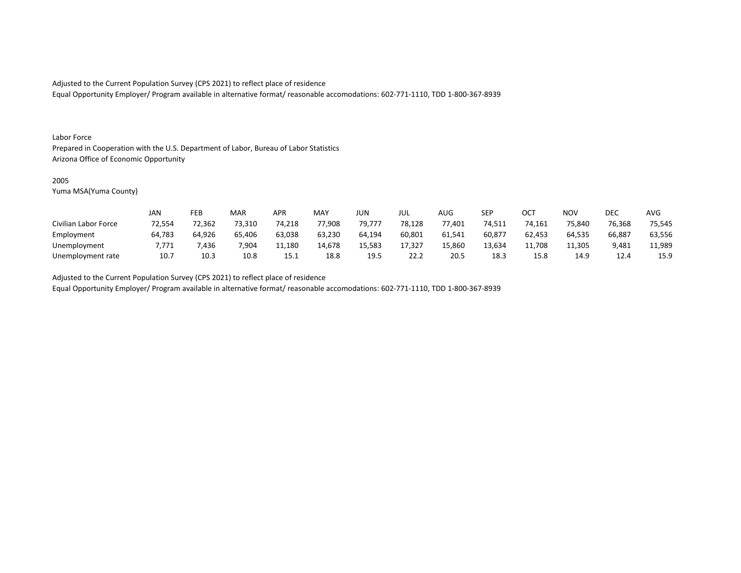Equal Opportunity Employer/ Program available in alternative format/ reasonable accomodations: 602-771-1110, TDD 1-800-367-8939

#### Labor Force

Prepared in Cooperation with the U.S. Department of Labor, Bureau of Labor Statistics Arizona Office of Economic Opportunity

### 2005

Yuma MSA(Yuma County)

|                      | JAN    | FEB    | MAR    | APR    | MA۱    | JUN    | JUL    | AUG    | SEP    | ОСТ    | <b>NOV</b> | DEC    | <b>AVG</b> |
|----------------------|--------|--------|--------|--------|--------|--------|--------|--------|--------|--------|------------|--------|------------|
| Civilian Labor Force | 72,554 | 72,362 | 73,310 | 74,218 | 77,908 | 79,777 | 78,128 | 77,401 | 74,511 | 74,161 | 75,840     | 76,368 | 75,545     |
| Employment           | 64,783 | 64,926 | 65,406 | 63,038 | 63,230 | 64.194 | 60,801 | 61,541 | 60,877 | 62,453 | 64.535     | 66,887 | 63,556     |
| Unemployment         | ',771  | ,436   | 7.904  | 11,180 | 14,678 | 15,583 | 17,327 | 15,860 | 13,634 | 11,708 | 11,305     | 9,481  | 11,989     |
| Unemployment rate    | 10.7   | 10.3   | 10.8   | 15.1   | 18.8   | 19.5   | 22.2   | 20.5   | 18.3   | 15.8   | 14.9       | 12.4   | 15.9       |

Adjusted to the Current Population Survey (CPS 2021) to reflect place of residence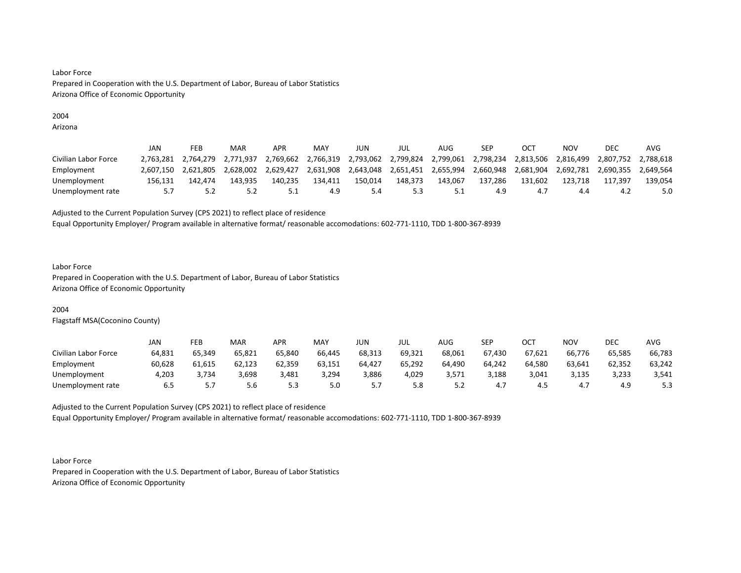# 2004

Arizona

|                      | JAN       | FEB       | <b>MAR</b> | APR       | MAY       | JUN       | JUL       | AUG       | SEP                 |           | NOV       | DEC       | AVG                 |
|----------------------|-----------|-----------|------------|-----------|-----------|-----------|-----------|-----------|---------------------|-----------|-----------|-----------|---------------------|
| Civilian Labor Force | 2.763.281 | 2.764.279 | 2.771.937  | 2.769.662 | 2,766,319 | 2,793,062 | 2,799,824 |           | 2,799,061 2,798,234 | 2,813,506 | 2,816,499 |           | 2,807,752 2,788,618 |
| Employment           | 2.607.150 | 2.621.805 | 2.628.002  | 2.629.427 | 2,631,908 | 2,643,048 | 2,651,451 | 2,655,994 | 2,660,948           | 2,681,904 | 2,692,781 | 2,690,355 | 2.649.564           |
| Unemployment         | 156.131   | 142.474   | 143.935    | 140.235   | 134.411   | 150.014   | 148.373   | 143.067   | 137.286             | 131.602   | 123.718   | 117.397   | 139.054             |
| Unemployment rate    |           |           |            | ـ . ـ     | 4.9       | 5.4       | 5.3       |           | 4.9                 | 4.        | 4.4       | ے.4       | 5.0                 |

Adjusted to the Current Population Survey (CPS 2021) to reflect place of residence

Equal Opportunity Employer/ Program available in alternative format/ reasonable accomodations: 602-771-1110, TDD 1-800-367-8939

### Labor Force

Prepared in Cooperation with the U.S. Department of Labor, Bureau of Labor Statistics Arizona Office of Economic Opportunity

# 2004

Flagstaff MSA(Coconino County)

|                      | JAN    | FEB    | <b>MAR</b> | APR    | MAY    | JUN    | JUL    | AUG    | <b>SEP</b> | ост    | NOV    | DEC    | AVG    |
|----------------------|--------|--------|------------|--------|--------|--------|--------|--------|------------|--------|--------|--------|--------|
| Civilian Labor Force | 64,831 | 65,349 | 65,821     | 65,840 | 66,445 | 68,313 | 69,321 | 68,061 | 67,430     | 67,621 | 66,776 | 65,585 | 66,783 |
| Employment           | 60,628 | 61,615 | 62,123     | 62,359 | 63,151 | 64,427 | 65,292 | 64,490 | 64,242     | 64,580 | 63,641 | 62,352 | 63,242 |
| Unemployment         | 4,203  | 3.734  | 3,698      | 3,481  | 3,294  | 3,886  | 4,029  | 3,571  | 3,188      | 3,041  | 3,135  | 3,233  | 3,541  |
| Unemployment rate    | ხ.5    | .      | .სნ        | 5.3    | 5.0    |        | 5.8    | ے. ب   | 4.7        | 4.J    | 4.,    | 4.9    | 5.3    |

Adjusted to the Current Population Survey (CPS 2021) to reflect place of residence Equal Opportunity Employer/ Program available in alternative format/ reasonable accomodations: 602-771-1110, TDD 1-800-367-8939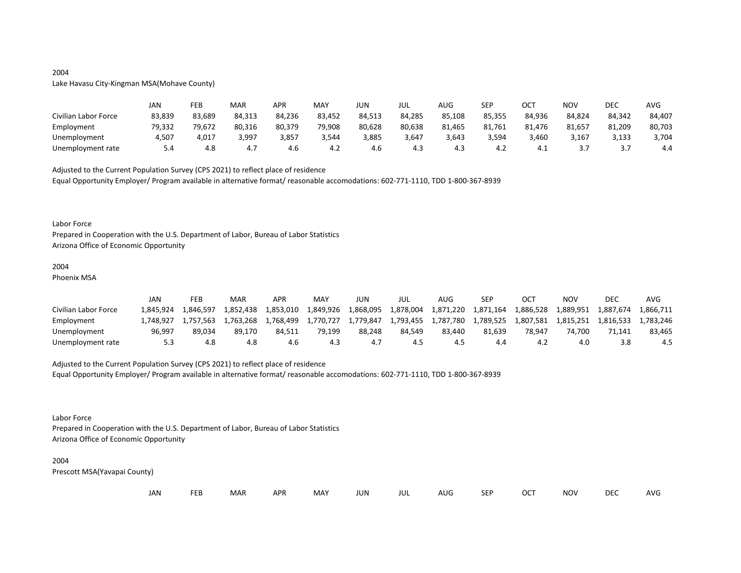# 2004 Lake Havasu City-Kingman MSA(Mohave County)

|                      | JAN    | FEB    | MAR    | APR    | MAY    | JUN    | JUL    | AUG    | <b>SEP</b> | OCT    | NOV    | DEC    | <b>AVG</b> |
|----------------------|--------|--------|--------|--------|--------|--------|--------|--------|------------|--------|--------|--------|------------|
| Civilian Labor Force | 83,839 | 83,689 | 84,313 | 84,236 | 83,452 | 84,513 | 84,285 | 85,108 | 85,355     | 84,936 | 84,824 | 84,342 | 84,407     |
| Employment           | 79,332 | 79,672 | 80,316 | 80,379 | 79,908 | 80,628 | 80,638 | 81,465 | 81,761     | 81,476 | 81,657 | 81,209 | 80,703     |
| Unemployment         | 4,507  | 4,017  | 3,997  | 3,857  | 3,544  | 3,885  | 3,647  | 3,643  | 3,594      | 3,460  | 3,167  | 3,133  | 3,704      |
| Unemployment rate    |        | 4.8    | 4.7    | 4.6    | 4.2    | 4.6    | 4.3    | 4.3    | 4.2        | 4.⊥    |        |        | 4.4        |

Adjusted to the Current Population Survey (CPS 2021) to reflect place of residence

Equal Opportunity Employer/ Program available in alternative format/ reasonable accomodations: 602-771-1110, TDD 1-800-367-8939

#### Labor Force

Prepared in Cooperation with the U.S. Department of Labor, Bureau of Labor Statistics Arizona Office of Economic Opportunity

# 2004

Phoenix MSA

|                      | JAN       | FEB       | MAR       | APR       | MA۱       | JUN       | JUL       | AUG       | SEP       | OCT       | NOV       | DEC       | AVG       |
|----------------------|-----------|-----------|-----------|-----------|-----------|-----------|-----------|-----------|-----------|-----------|-----------|-----------|-----------|
| Civilian Labor Force | 1.845.924 | 1.846.597 | 1.852.438 | 1,853,010 | 1,849,926 | 1,868,095 | 1,878,004 | 1,871,220 | 1,871,164 | 1,886,528 | 1,889,951 | 1,887,674 | 1,866,711 |
| Employment           | L.748.927 | 1.757.563 | 1.763.268 | 1.768.499 | 1.770.727 | 1.779.847 | 1,793,455 | 1,787,780 | 1,789,525 | 1,807,581 | 1.815.251 | 1.816.533 | 1.783.246 |
| Unemployment         | 96.997    | 89.034    | 89.170    | 84.511    | 79.199    | 88.248    | 84.549    | 83.440    | 81.639    | 78.947    | 74.700    | 71.141    | 83.465    |
| Unemployment rate    | 5.3       | 4.8       | 4.8       | 4.6       | 4.3       |           | 4.5       |           | 4.4       |           | 4.0       |           | 4.5       |

# Adjusted to the Current Population Survey (CPS 2021) to reflect place of residence

Equal Opportunity Employer/ Program available in alternative format/ reasonable accomodations: 602-771-1110, TDD 1-800-367-8939

#### Labor Force

Prepared in Cooperation with the U.S. Department of Labor, Bureau of Labor Statistics Arizona Office of Economic Opportunity

#### 2004

| JAN<br><b>FEB</b><br><b>OCT</b><br>MAR<br>MAY<br><b>APR</b><br><b>NOV</b><br>JUN<br><b>SEP</b><br>AUG<br>jul |  |  |  |  |  |  |  |  |  |  |  | DEC | <b>AVG</b> |
|--------------------------------------------------------------------------------------------------------------|--|--|--|--|--|--|--|--|--|--|--|-----|------------|
|--------------------------------------------------------------------------------------------------------------|--|--|--|--|--|--|--|--|--|--|--|-----|------------|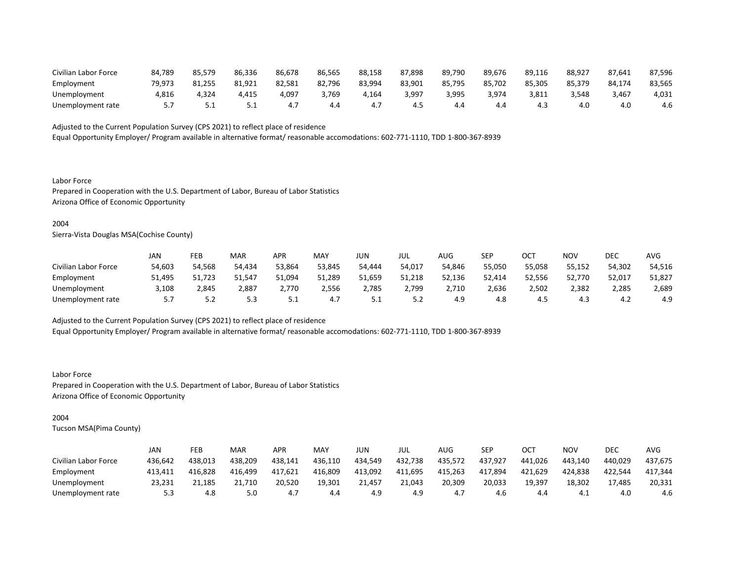| Civilian Labor Force | 84.789 | 85,579 | 86,336   | 86,678     | 86,565 | 88,158 | 87.898 | 89,790 | 89.676 | 89.116 | 88,927 | 87.641 | 87,596 |
|----------------------|--------|--------|----------|------------|--------|--------|--------|--------|--------|--------|--------|--------|--------|
| Employment           | 79.973 | 81.255 | 81,921   | 82,581     | 82,796 | 83,994 | 83,901 | 85,795 | 85.702 | 85.305 | 85,379 | 84.174 | 83,565 |
| Unemployment         | 4,816  | 4,324  | 4,415    | $4,09^{-}$ | 3,769  | 164,   | 3,997  | 3,995  | 3.974  | 3,811  | 3.548  | 3,467  | 4,031  |
| Unemployment rate    |        |        | <u>.</u> | 4.7        | 4.4    | 4.,    | 4.5    |        | 4.4    | 4.3    | 4.0    | 4.C    | 4.6    |

Equal Opportunity Employer/ Program available in alternative format/ reasonable accomodations: 602-771-1110, TDD 1-800-367-8939

Labor Force Prepared in Cooperation with the U.S. Department of Labor, Bureau of Labor Statistics Arizona Office of Economic Opportunity

#### 2004

Sierra-Vista Douglas MSA(Cochise County)

|                      | JAN    | FEB    | <b>MAR</b> | APR    | MA۱    | JUN      | JUL    | AUG    | <b>SEP</b> | $\cap$ $\cap$<br>UC. | NOV    | <b>DEC</b> | <b>AVC</b> |
|----------------------|--------|--------|------------|--------|--------|----------|--------|--------|------------|----------------------|--------|------------|------------|
| Civilian Labor Force | 54,603 | 54,568 | 54,434     | 53,864 | 53,845 | 54,444   | 54,017 | 54,846 | 55,050     | 55,058               | 55,152 | 54,302     | 54,516     |
| Employment           | 51,495 | 51,723 | 51,547     | 51,094 | 51,289 | 51,659   | 51,218 | 52,136 | 52,414     | 52,556               | 52,770 | 52,017     | 51,827     |
| Unemployment         | 3,108  | 2,845  | 2,887      | 2,770  | 2,556  | 2,785    | 2,799  | 2,710  | 2,636      | 2,502                | 2,382  | 2,285      | 2,689      |
| Unemployment rate    | J.,    | ے . د  | 5.3        | ــ.    | 4.7    | <u>.</u> | ے. ب   | 4.9    | 4.8        | 4.5                  | 4.3    | 4.Z        | 4.9        |

Adjusted to the Current Population Survey (CPS 2021) to reflect place of residence

Equal Opportunity Employer/ Program available in alternative format/ reasonable accomodations: 602-771-1110, TDD 1-800-367-8939

Labor Force Prepared in Cooperation with the U.S. Department of Labor, Bureau of Labor Statistics Arizona Office of Economic Opportunity

# 2004

|                      | JAN     | FEB     | <b>MAR</b> | APR     | MAY     | JUN     | JUL     | AUG     | SEP     | ОСТ     | NOV     | DEC     | AVG     |
|----------------------|---------|---------|------------|---------|---------|---------|---------|---------|---------|---------|---------|---------|---------|
| Civilian Labor Force | 436,642 | 438.013 | 438,209    | 438,141 | 436,110 | 434,549 | 432,738 | 435,572 | 437.927 | 441.026 | 443,140 | 440.029 | 437,675 |
| Employment           | 413,411 | 416,828 | 416,499    | 417,621 | 416,809 | 413,092 | 411,695 | 415,263 | 417,894 | 421,629 | 424,838 | 422.544 | 417,344 |
| Unemployment         | 23.231  | 21,185  | 21,710     | 20,520  | 19,301  | 21.457  | 21.043  | 20,309  | 20,033  | 19,397  | 18,302  | 17.485  | 20,331  |
| Unemployment rate    | 5.3     | 4.8     | 5.0        | 4.      | 4.4     | 4.9     | 4.9     | 4.,     | 4.6     |         | 4.1     | 4.0     | 4.6     |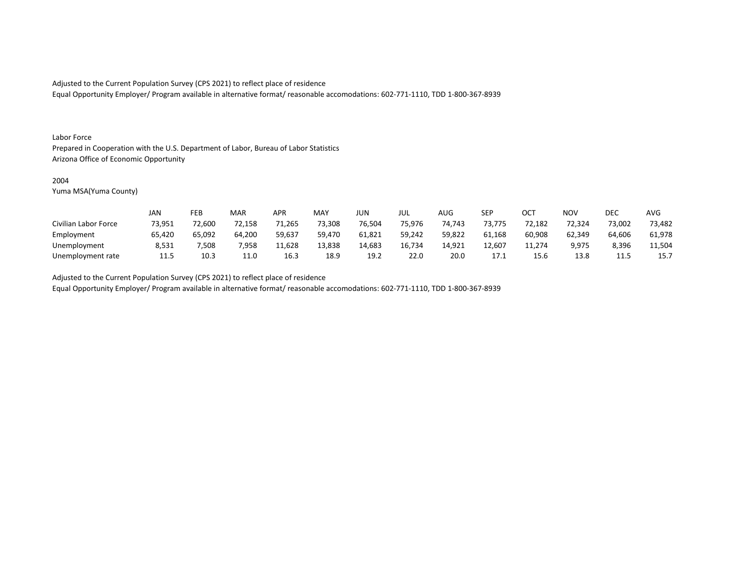Equal Opportunity Employer/ Program available in alternative format/ reasonable accomodations: 602-771-1110, TDD 1-800-367-8939

#### Labor Force

Prepared in Cooperation with the U.S. Department of Labor, Bureau of Labor Statistics Arizona Office of Economic Opportunity

#### 2004

Yuma MSA(Yuma County)

|                      | <b>JAN</b> | FEB    | MAR    | APR    | <b>MAY</b> | <b>JUN</b> | JUL    | <b>AUG</b> | <b>SEP</b> | ОСТ    | <b>NOV</b> | DEC    | <b>AVG</b> |
|----------------------|------------|--------|--------|--------|------------|------------|--------|------------|------------|--------|------------|--------|------------|
| Civilian Labor Force | 73,951     | 72,600 | 72,158 | 71,265 | 73,308     | 76,504     | 75,976 | 74,743     | 73,775     | 72,182 | 72,324     | 73,002 | 73,482     |
| Employment           | 65,420     | 65,092 | 64,200 | 59,637 | 59,470     | 61,821     | 59,242 | 59,822     | 61,168     | 60,908 | 62,349     | 64,606 | 61,978     |
| Unemployment         | 8,531      | 7,508  | 7,958  | 11,628 | 13,838     | 14,683     | 16.734 | 14,921     | 12.607     | 11,274 | 9,975      | 8,396  | 11,504     |
| Unemployment rate    | 11.5       | 10.3   | 11.0   | 16.3   | 18.9       | 19.2       | 22.0   | 20.0       | 17.1       | 15.6   | 13.8       | ----   | 15.7       |

Adjusted to the Current Population Survey (CPS 2021) to reflect place of residence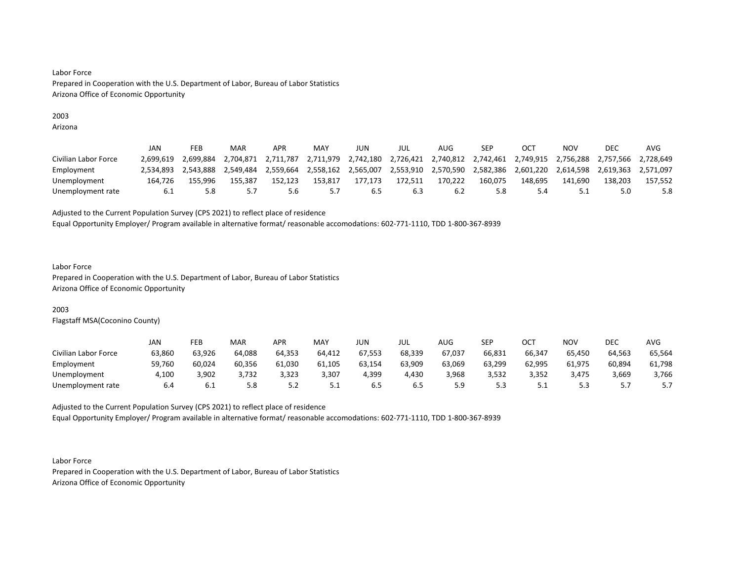# 2003

Arizona

|                      | JAN       | FEB       | <b>MAR</b> | APR       | MAY       | JUN       | jul       | AUG       | SEP       |                                                   | NOV       | DEC       | AVG       |
|----------------------|-----------|-----------|------------|-----------|-----------|-----------|-----------|-----------|-----------|---------------------------------------------------|-----------|-----------|-----------|
| Civilian Labor Force | 2.699.619 | 2.699.884 | 2.704.871  | 2.711.787 | 2,711,979 | 2,742,180 |           |           |           | 2,726,421 2,740,812 2,742,461 2,749,915 2,756,288 |           | 2,757,566 | 2.728.649 |
| Employment           | 2.534.893 | 2,543,888 | 2.549.484  | 2,559,664 | 2,558,162 | 2,565,007 | 2,553,910 | 2,570,590 | 2,582,386 | 2,601,220                                         | 2,614,598 | 2,619,363 | 2.571.097 |
| Unemployment         | 164.726   | 155.996   | 155.387    | 152.123   | 153.817   | 177.173   | 172.511   | 170,222   | 160.075   | 148.695                                           | 141.690   | 138.203   | 157.552   |
| Unemployment rate    | 6.1       |           |            | 5.6       |           |           | 6.3       |           | 5.8       |                                                   |           |           | 5.8       |

Adjusted to the Current Population Survey (CPS 2021) to reflect place of residence

Equal Opportunity Employer/ Program available in alternative format/ reasonable accomodations: 602-771-1110, TDD 1-800-367-8939

#### Labor Force

Prepared in Cooperation with the U.S. Department of Labor, Bureau of Labor Statistics Arizona Office of Economic Opportunity

# 2003

Flagstaff MSA(Coconino County)

|                      | JAN    | FEB    | <b>MAR</b> | APR    | MAY    | JUN    | JUL    | AUG    | SEP    | ост      | NOV    | DEC      | AVG    |
|----------------------|--------|--------|------------|--------|--------|--------|--------|--------|--------|----------|--------|----------|--------|
| Civilian Labor Force | 63,860 | 63,926 | 64,088     | 64,353 | 64,412 | 67,553 | 68,339 | 67,037 | 66,831 | 66,347   | 65,450 | 64,563   | 65,564 |
| Employment           | 59,760 | 60,024 | 60,356     | 61,030 | 61,105 | 63,154 | 63,909 | 63,069 | 63,299 | 62,995   | 61,975 | 60,894   | 61,798 |
| Unemployment         | 4,100  | 3,902  | 3,732      | 3,323  | 3,307  | 4,399  | 4,430  | 3,968  | 3,532  | 3,352    | 3.475  | 3,669    | 3,766  |
| Unemployment rate    | 6.4    | b.l    | 5.8        | ے . د  | 5.1    | 6.5    | ხ.5    |        | 5.3    | <u>.</u> | -      | <u>.</u> | J.,    |

Adjusted to the Current Population Survey (CPS 2021) to reflect place of residence Equal Opportunity Employer/ Program available in alternative format/ reasonable accomodations: 602-771-1110, TDD 1-800-367-8939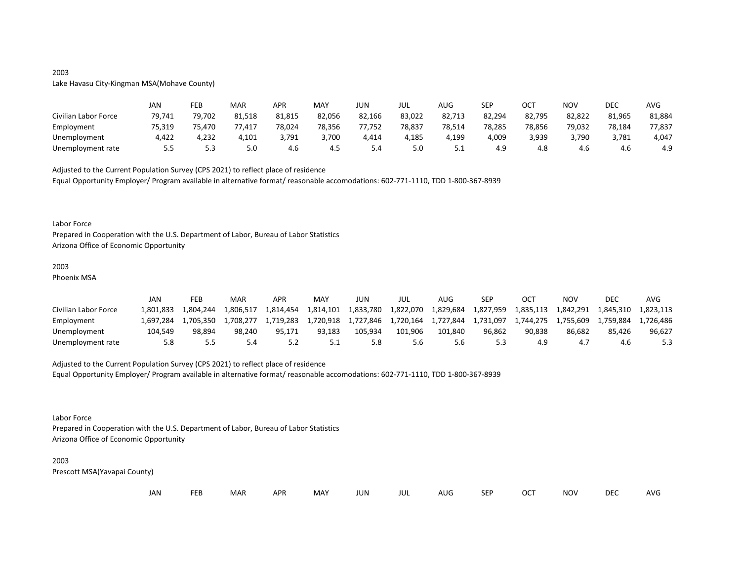# 2003

# Lake Havasu City-Kingman MSA(Mohave County)

|                      | JAN    | FEB    | MAR    | APR    | <b>MAY</b> | JUN    | JUL    | AUG      | <b>SEP</b> | ост    | NOV    | DEC    | <b>AVG</b> |
|----------------------|--------|--------|--------|--------|------------|--------|--------|----------|------------|--------|--------|--------|------------|
| Civilian Labor Force | 79,741 | 79,702 | 81,518 | 81,815 | 82,056     | 82,166 | 83,022 | 82,713   | 82,294     | 82,795 | 82,822 | 81,965 | 81,884     |
| Employment           | 75,319 | 75.470 | 77,417 | 78,024 | 78,356     | 77,752 | 78,837 | 78,514   | 78,285     | 78,856 | 79,032 | 78,184 | 77,837     |
| Unemployment         | 4.422  | 4,232  | 4,101  | 3.791  | 3,700      | 4,414  | 4,185  | 4,199    | 4,009      | 3,939  | 3,790  | 3,781  | 4,047      |
| Unemployment rate    | 5.5    | 5.3    | 5.0    | 4.6    | 4.5        | 5.4    | 5.0    | <u>.</u> | 4.9        | 4.ŏ    | 4.6    | 4.6    | 4.9        |

Adjusted to the Current Population Survey (CPS 2021) to reflect place of residence

Equal Opportunity Employer/ Program available in alternative format/ reasonable accomodations: 602-771-1110, TDD 1-800-367-8939

#### Labor Force

Prepared in Cooperation with the U.S. Department of Labor, Bureau of Labor Statistics Arizona Office of Economic Opportunity

# 2003

Phoenix MSA

|                      | JAN        | FEB       | MAR       | <b>APR</b> | MA <sup>V</sup> | JUN       | JUL       | AUG       | <b>SEP</b> | OCT       | NOV       | DEC       | AVG       |
|----------------------|------------|-----------|-----------|------------|-----------------|-----------|-----------|-----------|------------|-----------|-----------|-----------|-----------|
| Civilian Labor Force | 801.833. ا | 1.804.244 | 806,517⊾  | 1,814,454  | 1,814,101       | 1,833,780 | 1,822,070 | 1,829,684 | 1,827,959  | 1,835,113 | 1,842,291 | 1,845,310 | 1.823.113 |
| Employment           | 1.697.284  | 1.705.350 | 1.708.277 | 1.719.283  | 1,720,918       | 1,727,846 | 1,720,164 | 1,727,844 | 1,731,097  | 1,744,275 | 1.755.609 | 1.759.884 | 1.726.486 |
| Unemployment         | 104.549    | 98.894    | 98.240    | 95.171     | 93.183          | 105.934   | 101.906   | 101.840   | 96.862     | 90.838    | 86.682    | 85.426    | 96,627    |
| Unemployment rate    | 5.8        |           |           |            | ـ . ـ           |           | 5.6       | o.c       | 53         | 4.9       | 4.        | 4.0       |           |

# Adjusted to the Current Population Survey (CPS 2021) to reflect place of residence

Equal Opportunity Employer/ Program available in alternative format/ reasonable accomodations: 602-771-1110, TDD 1-800-367-8939

### Labor Force

Prepared in Cooperation with the U.S. Department of Labor, Bureau of Labor Statistics Arizona Office of Economic Opportunity

#### 2003

| JAN<br><b>FEB</b><br><b>OCT</b><br>MAR<br>MAY<br><b>APR</b><br><b>NOV</b><br>JUN<br><b>SEP</b><br>AUG<br>jul |  |  |  |  |  |  |  |  |  |  |  | DEC | <b>AVG</b> |
|--------------------------------------------------------------------------------------------------------------|--|--|--|--|--|--|--|--|--|--|--|-----|------------|
|--------------------------------------------------------------------------------------------------------------|--|--|--|--|--|--|--|--|--|--|--|-----|------------|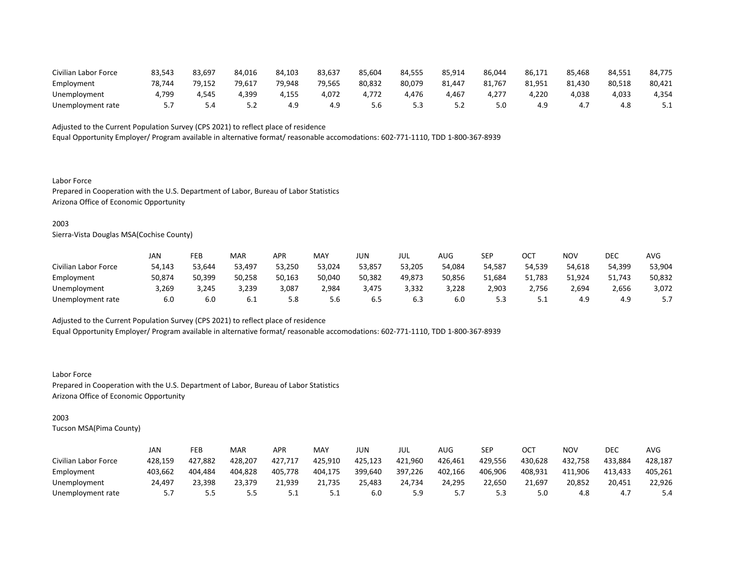| Civilian Labor Force | 83,543 | 83,697 | 84.016 | 84,103 | 83,637 | 85,604 | 84,555    | 85,914 | 86,044 | 86,171 | 85,468 | 84,551 | 84,775 |
|----------------------|--------|--------|--------|--------|--------|--------|-----------|--------|--------|--------|--------|--------|--------|
| Employment           | 78.744 | 79,152 | 79.617 | 79.948 | 79,565 | 80,832 | 80,079    | 81,447 | 81,767 | 81,951 | 81,430 | 80,518 | 80,421 |
| Unemployment         | 4.799  | 4.545  | 4.399  | 4,155  | 4.072  | 1,772  | 4.476     | .46.   | 4.277  | .220   | 4.038  | 4,033  | 4,354  |
| Unemployment rate    |        | D.4    | ے . ۔  | 4.9    | 4.9    | 5.6    | 53<br>--- |        | 5.0    | 4.9    | 4.,    | 4.ŏ    | ـ . ـ  |

Equal Opportunity Employer/ Program available in alternative format/ reasonable accomodations: 602-771-1110, TDD 1-800-367-8939

Labor Force Prepared in Cooperation with the U.S. Department of Labor, Bureau of Labor Statistics Arizona Office of Economic Opportunity

### 2003

Sierra-Vista Douglas MSA(Cochise County)

|                      | JAN    | FEB    | <b>MAR</b> | APR    | MAY    | JUN    | JUL    | AUG    | SEP    | OCT      | NOV    | DEC    | <b>AVG</b> |
|----------------------|--------|--------|------------|--------|--------|--------|--------|--------|--------|----------|--------|--------|------------|
| Civilian Labor Force | 54,143 | 53,644 | 53,497     | 53,250 | 53,024 | 53,857 | 53,205 | 54,084 | 54,587 | 54,539   | 54,618 | 54,399 | 53,904     |
| Employment           | 50,874 | 50,399 | 50,258     | 50,163 | 50,040 | 50,382 | 49.873 | 50,856 | 51.684 | 51.783   | 51.924 | 51,743 | 50,832     |
| Unemployment         | 3,269  | 3,245  | 3,239      | 3,087  | 2,984  | 3,475  | 3,332  | 3,228  | 2,903  | 2,756    | 2,694  | 2,656  | 3,072      |
| Unemployment rate    | 6.0    | 6.0    | 6.1        | 5.8    | 5.6    | 6.5    | 6.3    | 6.0    | 5.3    | <u>.</u> | 4.9    | 4.9    |            |

Adjusted to the Current Population Survey (CPS 2021) to reflect place of residence

Equal Opportunity Employer/ Program available in alternative format/ reasonable accomodations: 602-771-1110, TDD 1-800-367-8939

Labor Force Prepared in Cooperation with the U.S. Department of Labor, Bureau of Labor Statistics Arizona Office of Economic Opportunity

# 2003

|                      | JAN     | FEB     | <b>MAR</b> | APR        | MA۱     | JUN     | JUL     | AUG     | SEP     | ОСТ     | NOV     | DEC     | AVG     |
|----------------------|---------|---------|------------|------------|---------|---------|---------|---------|---------|---------|---------|---------|---------|
| Civilian Labor Force | 428,159 | 427,882 | 428,207    | 427,717    | 425,910 | 425,123 | 421,960 | 426,461 | 429,556 | 430,628 | 432,758 | 433,884 | 428,187 |
| Employment           | 403.662 | 404.484 | 404.828    | 405.778    | 404.175 | 399,640 | 397,226 | 402,166 | 406,906 | 408,931 | 411,906 | 413.433 | 405.261 |
| Unemployment         | 24,497  | 23,398  | 23,379     | 21,939     | 21,735  | 25,483  | 24,734  | 24,295  | 22,650  | 21,697  | 20,852  | 20,451  | 22,926  |
| Unemployment rate    |         | ر.ر     | 5.5        | <u>J.L</u> | ــ.     | 6.0     | 5.9     |         | 5.3     | 5.0     | 4.8     | 4.,     | 5.4     |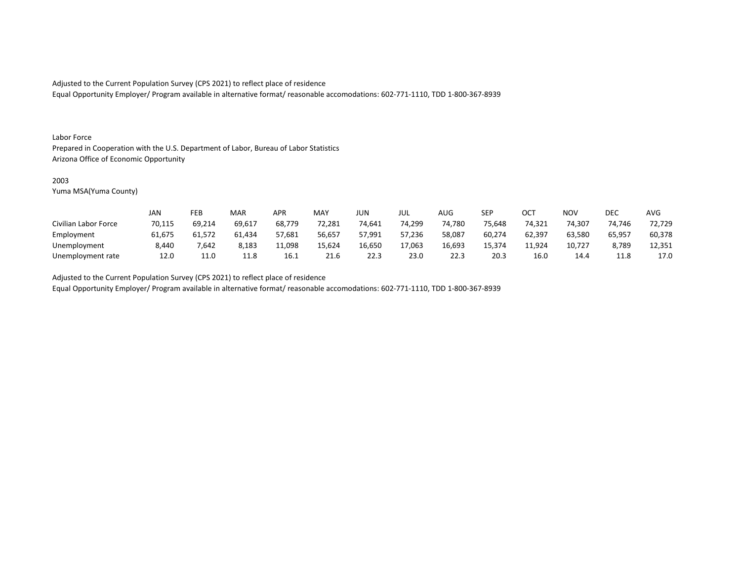Equal Opportunity Employer/ Program available in alternative format/ reasonable accomodations: 602-771-1110, TDD 1-800-367-8939

#### Labor Force

Prepared in Cooperation with the U.S. Department of Labor, Bureau of Labor Statistics Arizona Office of Economic Opportunity

#### 2003

Yuma MSA(Yuma County)

|                      | JAN    | FEB    | MAR    | APR    | <b>MAY</b> | JUN    | JUL    | AUG    | SEP    | OCT    | <b>NOV</b> | DEC    | <b>AVG</b> |
|----------------------|--------|--------|--------|--------|------------|--------|--------|--------|--------|--------|------------|--------|------------|
| Civilian Labor Force | 70,115 | 69,214 | 69,617 | 68,779 | 72,281     | 74,641 | 74,299 | 74,780 | 75,648 | 74,321 | 74,307     | 74,746 | 72,729     |
| Employment           | 61,675 | 61.572 | 61,434 | 57,681 | 56,657     | 57,991 | 57,236 | 58,087 | 60,274 | 62,397 | 63,580     | 65,957 | 60,378     |
| Unemployment         | 8,440  | 7.642  | 8,183  | 11,098 | 15,624     | 16,650 | 17,063 | 16,693 | 15.374 | 11,924 | 10,727     | 8,789  | 12,351     |
| Unemployment rate    | 12.0   | 11.0   | 11.8   | 16.1   | 21.6       | 22.3   | 23.0   | 22.3   | 20.3   | 16.0   | 14.4       | 11.8   | 17.0       |

Adjusted to the Current Population Survey (CPS 2021) to reflect place of residence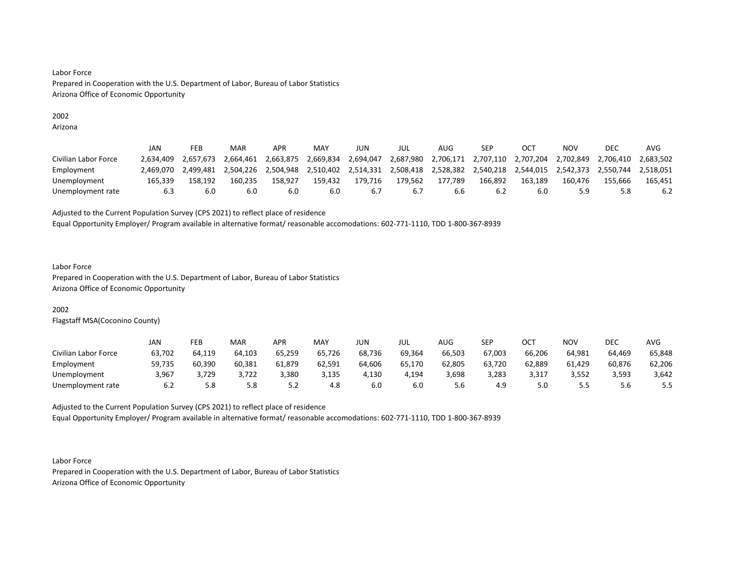# 2002

Arizona

|                      | JAN       | FEB       | MAR       | APR       | MAY       | JUN       | jul       | AUG       | SEP                 |           | NOV       | DEC       | AVG       |
|----------------------|-----------|-----------|-----------|-----------|-----------|-----------|-----------|-----------|---------------------|-----------|-----------|-----------|-----------|
| Civilian Labor Force | 2.634.409 | 2.657.673 | 2.664.461 | 2,663,875 | 2,669,834 | 2,694,047 | 2,687,980 |           | 2,706,171 2,707,110 | 2,707,204 | 2,702,849 | 2.706.410 | 2.683.502 |
| Employment           | 2.469.070 | 2.499.481 | 2.504.226 | 2.504.948 | 2.510.402 | 2.514.331 | 2,508,418 | 2,528,382 | 2,540,218           | 2,544,015 | 2.542.373 | 2,550,744 | 2.518.051 |
| Unemployment         | 165.339   | 158.192   | 160.235   | 158.927   | 159.432   | 179.716   | 179.562   | 177.789   | 166.892             | 163.189   | 160.476   | 155.666   | 165.451   |
| Unemployment rate    | 6.3       | 6.0       | 6.0       | 6.0       | 6.0       | b.,       | 6.7       |           | 6.2                 | 6.0       | 5.9       |           | 6.2       |

Adjusted to the Current Population Survey (CPS 2021) to reflect place of residence

Equal Opportunity Employer/ Program available in alternative format/ reasonable accomodations: 602-771-1110, TDD 1-800-367-8939

### Labor Force

Prepared in Cooperation with the U.S. Department of Labor, Bureau of Labor Statistics Arizona Office of Economic Opportunity

# 2002

Flagstaff MSA(Coconino County)

|                      | JAN    | FEB    | <b>MAR</b> | APR    | <b>MAY</b> | JUN    | JUL    | AUG    | <b>SEP</b> | ост    | NOV    | DEC    | AVG    |
|----------------------|--------|--------|------------|--------|------------|--------|--------|--------|------------|--------|--------|--------|--------|
| Civilian Labor Force | 63,702 | 64,119 | 64.103     | 65,259 | 65,726     | 68,736 | 69,364 | 66,503 | 67,003     | 66,206 | 64.981 | 64.469 | 65,848 |
| Employment           | 59,735 | 60,390 | 60,381     | 61,879 | 62,591     | 64,606 | 65,170 | 62,805 | 63,720     | 62,889 | 61,429 | 60,876 | 62,206 |
| Unemployment         | 3,967  | 3,729  | 3,722      | 3,380  | 3,135      | 4,130  | 4,194  | 3,698  | 3,283      | 3,317  | 3,552  | 3,593  | 3,642  |
| Unemployment rate    | 6.2    | 5.8    | 5.8        | ے . ۔  | 4.8        | 6.0    | 6.0    | 5.6    | 4.9        |        | כ.כ    | 5.6    | 5.5    |

Adjusted to the Current Population Survey (CPS 2021) to reflect place of residence Equal Opportunity Employer/ Program available in alternative format/ reasonable accomodations: 602-771-1110, TDD 1-800-367-8939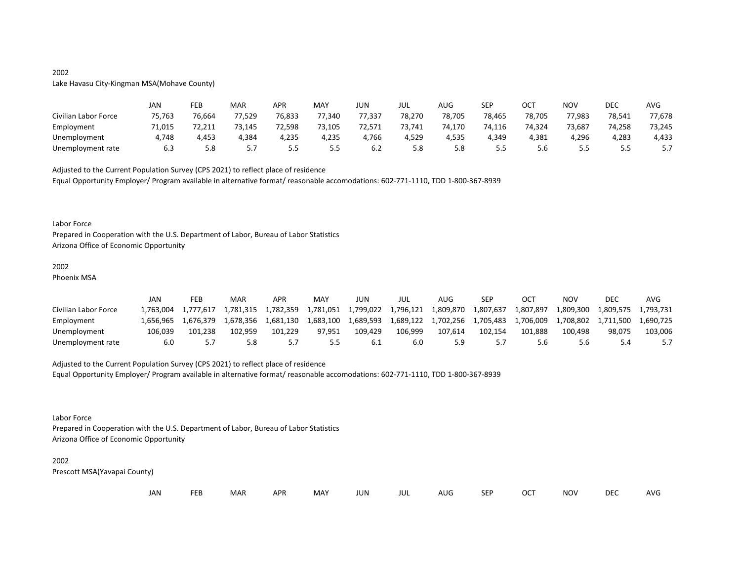# 2002 Lake Havasu City-Kingman MSA(Mohave County)

|                      | JAN    | FEB    | MAR    | APR    | MAY    | JUN    | JUL    | AUG    | SEP    | OCT    | NOV    | DEC    | AVG    |
|----------------------|--------|--------|--------|--------|--------|--------|--------|--------|--------|--------|--------|--------|--------|
| Civilian Labor Force | 75,763 | 76,664 | 77,529 | 76,833 | 77,340 | 77,337 | 78,270 | 78,705 | 78,465 | 78,705 | 77,983 | 78,541 | 77,678 |
| Employment           | 71,015 | 72,211 | 73,145 | 72,598 | 73,105 | 72,571 | 73,741 | 74.170 | 74,116 | 74,324 | 73,687 | 74,258 | 73,245 |
| Unemployment         | 1.748  | 4,453  | 4,384  | 4,235  | 4,235  | 4,766  | 4,529  | 4,535  | 4,349  | 4,381  | 4,296  | 4,283  | 4,433  |
| Unemployment rate    | 6.3    | 5.8    | J.,    |        | 5.5    | b.Z    | 5.8    | 5.8    | כ.כ    | 5.6    |        | ---    |        |

Adjusted to the Current Population Survey (CPS 2021) to reflect place of residence

Equal Opportunity Employer/ Program available in alternative format/ reasonable accomodations: 602-771-1110, TDD 1-800-367-8939

#### Labor Force

Prepared in Cooperation with the U.S. Department of Labor, Bureau of Labor Statistics Arizona Office of Economic Opportunity

# 2002

Phoenix MSA

|                      | JAN      | FEB       | MAR       | APR       | MAY       | JUN       | JUL       | AUG.      | SEP       | ОСТ       | NOV       | DEC       | AVG       |
|----------------------|----------|-----------|-----------|-----------|-----------|-----------|-----------|-----------|-----------|-----------|-----------|-----------|-----------|
| Civilian Labor Force | .763.004 | 1.777.617 | 1.781.315 | 1,782,359 | 1,781,051 | 1,799,022 | 1,796,121 | 1,809,870 | 1.807.637 | 1.807.897 | 1,809,300 | 1,809,575 | 1.793.731 |
| Employment           | .656.965 | 1.676.379 | 1.678.356 | 1.681.130 | 1,683,100 | 1,689,593 | 1,689,122 | 1,702,256 | 1,705,483 | 1,706,009 | 1.708.802 | 1,711,500 | 1.690.725 |
| Unemployment         | 106.039  | 101.238   | 102.959   | 101.229   | 97.951    | 109.429   | 106.999   | 107.614   | 102,154   | 101.888   | 100.498   | 98.075    | 103,006   |
| Unemployment rate    | 6.0      |           | 5.8       |           | 5.5       |           | 6.0       |           |           | ס.כ       | 5.6       |           |           |

#### Adjusted to the Current Population Survey (CPS 2021) to reflect place of residence

Equal Opportunity Employer/ Program available in alternative format/ reasonable accomodations: 602-771-1110, TDD 1-800-367-8939

Labor Force

Prepared in Cooperation with the U.S. Department of Labor, Bureau of Labor Statistics Arizona Office of Economic Opportunity

#### 2002

| JAN |  | <b>FEB</b> | MAR | <b>APR</b> | MAY | JUN | JUL | AUG | <b>SEP</b> | <b>OCT</b> | <b>NOV</b> | <b>DEC</b> | AVG |
|-----|--|------------|-----|------------|-----|-----|-----|-----|------------|------------|------------|------------|-----|
|-----|--|------------|-----|------------|-----|-----|-----|-----|------------|------------|------------|------------|-----|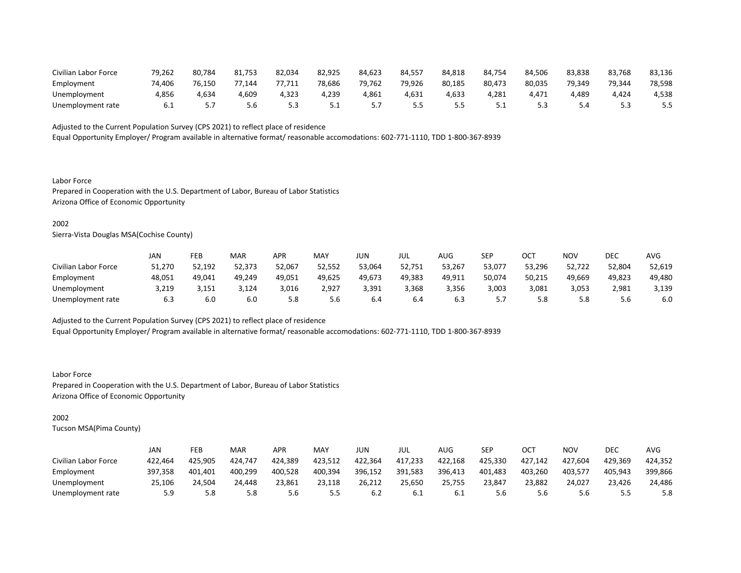| Civilian Labor Force | 79,262 | 80,784 | 81,753     | 82.034 | 82,925   | 84.623 | 84.557 | 84.818 | 84.754 | 84,506 | 83,838 | 83,768 | 83,136 |
|----------------------|--------|--------|------------|--------|----------|--------|--------|--------|--------|--------|--------|--------|--------|
| Employment           | 74.406 | 76.150 | 77<br>.144 | ב77,71 | 78.686   | 79,762 | 79,926 | 80,185 | 80,473 | 80,035 | 79.349 | 79,344 | 78,598 |
| Unemployment         | 4,856  | 4,634  | 4,609      | 4,323  | 4.239    | 4,861  | 4.631  | 4.633  | 4.281  | 4.471  | 4.489  | .424   | 4,538  |
| Unemployment rate    | b.l    |        | 5.6        |        | <u>.</u> |        |        |        | ـ . ـ  |        |        |        |        |

Equal Opportunity Employer/ Program available in alternative format/ reasonable accomodations: 602-771-1110, TDD 1-800-367-8939

Labor Force Prepared in Cooperation with the U.S. Department of Labor, Bureau of Labor Statistics Arizona Office of Economic Opportunity

### 2002

Sierra-Vista Douglas MSA(Cochise County)

|                      | JAN    | <b>FEB</b> | <b>MAR</b> | APR    | MA۱    | JUN    | JUL    | AUG    | <b>SEP</b> | ∩∩⊤<br>UC. | NOV    | <b>DEC</b> | <b>AVG</b> |
|----------------------|--------|------------|------------|--------|--------|--------|--------|--------|------------|------------|--------|------------|------------|
| Civilian Labor Force | 51,270 | 52,192     | 52,373     | 52,067 | 52,552 | 53,064 | 52,751 | 53,267 | 53,077     | 53,296     | 52,722 | 52,804     | 52,619     |
| Employment           | 48,051 | 49,041     | 49,249     | 49,051 | 49,625 | 49,673 | 49,383 | 49,911 | 50,074     | 50,215     | 49,669 | 49,823     | 49,480     |
| Unemployment         | 3,219  | 3.151      | 3,124      | 3,016  | 2,927  | 3.391  | 3.368  | 3.356  | 3,003      | 3,081      | 3.053  | 2.981      | 3,139      |
| Unemployment rate    | 6.3    | 6.0        | 6.0        | 5.8    | 5.6    | 6.4    | 6.4    | b.3    | .          | 5.8        | 5.8    | 5.6        | 6.0        |

Adjusted to the Current Population Survey (CPS 2021) to reflect place of residence

Equal Opportunity Employer/ Program available in alternative format/ reasonable accomodations: 602-771-1110, TDD 1-800-367-8939

Labor Force Prepared in Cooperation with the U.S. Department of Labor, Bureau of Labor Statistics Arizona Office of Economic Opportunity

# 2002

|                      | JAN     | FEB     | <b>MAR</b> | APR     | MAY     | JUN     | JUL     | AUG     | SEP     | ОСТ     | NOV     | DEC     | AVG     |
|----------------------|---------|---------|------------|---------|---------|---------|---------|---------|---------|---------|---------|---------|---------|
| Civilian Labor Force | 422,464 | 425,905 | 424,747    | 424,389 | 423,512 | 422,364 | 417,233 | 422,168 | 425,330 | 427,142 | 427,604 | 429,369 | 424,352 |
| Employment           | 397.358 | 401.401 | 400,299    | 400.528 | 400,394 | 396,152 | 391,583 | 396,413 | 401,483 | 403.260 | 403.577 | 405,943 | 399,866 |
| Unemployment         | 25,106  | 24.504  | 24,448     | 23,861  | 23,118  | 26,212  | 25,650  | 25,755  | 23,847  | 23,882  | 24,027  | 23,426  | 24,486  |
| Unemployment rate    | 5.9     | 5.8     | 5.8        | 5.6     | 5.5     | b.Z     | 6.1     | 0.L     | 5.6     | 5.6     | 5.6     |         | 5.8     |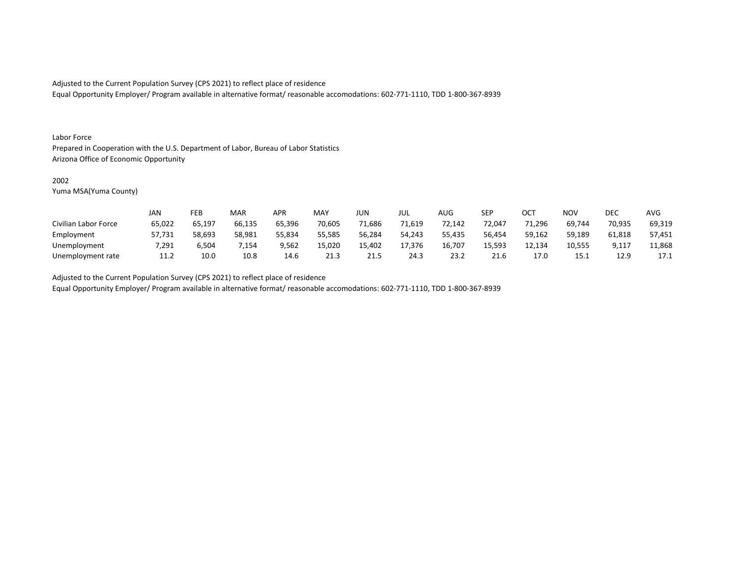Equal Opportunity Employer/ Program available in alternative format/ reasonable accomodations: 602-771-1110, TDD 1-800-367-8939

#### Labor Force

Prepared in Cooperation with the U.S. Department of Labor, Bureau of Labor Statistics Arizona Office of Economic Opportunity

### 2002

Yuma MSA(Yuma County)

|                      | <b>JAN</b> | FEB    | MAR    | APR    | <b>MAY</b> | <b>JUN</b> | JUL    | AUG    | <b>SEP</b> | OCT    | <b>NOV</b> | DEC    | <b>AVG</b> |
|----------------------|------------|--------|--------|--------|------------|------------|--------|--------|------------|--------|------------|--------|------------|
| Civilian Labor Force | 65,022     | 65,197 | 66,135 | 65,396 | 70,605     | 71,686     | 71,619 | 72,142 | 72,047     | 1,296  | 69,744     | 70,935 | 69,319     |
| Employment           | 57,731     | 58,693 | 58,981 | 55,834 | 55,585     | 56,284     | 54.243 | 55,435 | 56,454     | 59,162 | 59,189     | 61,818 | 57,451     |
| Unemployment         | 7,291      | 6,504  | ,154   | 9,562  | 15,020     | 15,402     | 17.376 | 16,707 | 15.593     | 12,134 | 10,555     | 9,117  | 11,868     |
| Unemployment rate    | 11.2       | 10.0   | 10.8   | 14.6   | 21.3       | 21.5       | 24.3   | 23.2   | 21.6       | 17.0   | 15.1       | 12.9   | 17.1       |

Adjusted to the Current Population Survey (CPS 2021) to reflect place of residence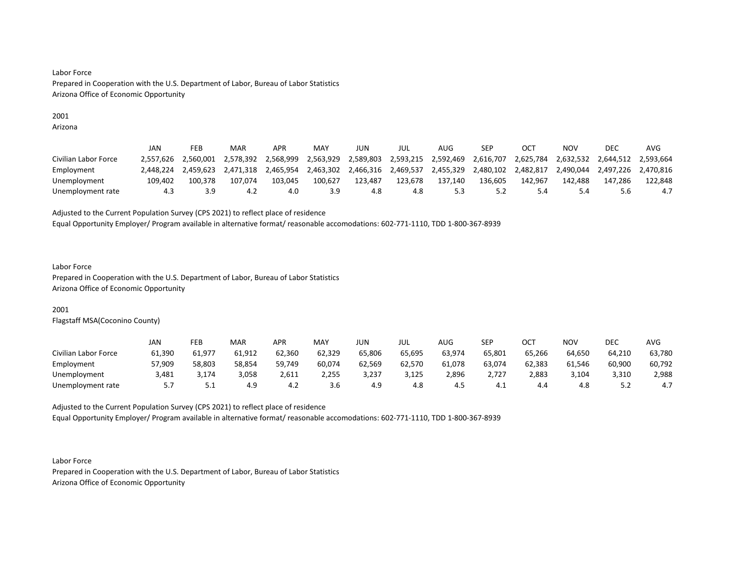# 2001

Arizona

|                      | JAN       | FEB       | <b>MAR</b> | APR       | MAY       | JUN       | JUL       | AUG                 | SEP                 |           | NOV       | DEC                 | AVG       |
|----------------------|-----------|-----------|------------|-----------|-----------|-----------|-----------|---------------------|---------------------|-----------|-----------|---------------------|-----------|
| Civilian Labor Force | 2.557.626 | 2.560.001 | 2.578.392  | 2,568,999 | 2,563,929 | 2,589,803 |           | 2,593,215 2,592,469 | 2,616,707           | 2,625,784 | 2.632.532 | 2,644,512 2,593,664 |           |
| Employment           | 2.448.224 | 2.459.623 | 2.471.318  | 2,465,954 | 2,463,302 | 2,466,316 | 2.469.537 | 2,455,329           | 2,480,102 2,482,817 |           | 2.490.044 | 2,497,226           | 2.470.816 |
| Unemployment         | 109.402   | 100.378   | 107.074    | 103.045   | 100.627   | 123.487   | 123.678   | 137.140             | 136.605             | 142.967   | 142.488   | 147.286             | 122.848   |
| Unemployment rate    | 4.3       |           |            | 4.0       | 3.9       | 4.8       | 4.8       |                     |                     |           | 5.4       | 5.6                 | 4.7       |

Adjusted to the Current Population Survey (CPS 2021) to reflect place of residence

Equal Opportunity Employer/ Program available in alternative format/ reasonable accomodations: 602-771-1110, TDD 1-800-367-8939

#### Labor Force

Prepared in Cooperation with the U.S. Department of Labor, Bureau of Labor Statistics Arizona Office of Economic Opportunity

# 2001

Flagstaff MSA(Coconino County)

|                      | JAN    | FEB    | <b>MAR</b> | APR    | MAY    | JUN    | JUL    | <b>AUG</b> | <b>SEP</b> | ост    | <b>NOV</b> | <b>DEC</b> | <b>AVG</b> |
|----------------------|--------|--------|------------|--------|--------|--------|--------|------------|------------|--------|------------|------------|------------|
| Civilian Labor Force | 61,390 | 61,977 | 61,912     | 62,360 | 62,329 | 65,806 | 65,695 | 63,974     | 65,801     | 65,266 | 64,650     | 64,210     | 63,780     |
| Employment           | 57,909 | 58,803 | 58,854     | 59,749 | 60,074 | 62,569 | 62,570 | 61.078     | 63,074     | 62,383 | 61.546     | 60,900     | 60,792     |
| Unemployment         | 3,481  | 174,د  | 3,058      | 2,611  | 2,255  | 3,237  | 3,125  | 2,896      | 2,727      | 2,883  | 3,104      | 3,310      | 2,988      |
| Unemployment rate    |        | ـ . ـ  | 4.9        | 4.Z    | 3.6    | 4.9    | 4.8    | 4.J        | 4.⊥        | 4.4    | റ<br>4.ŏ   | ے . ۔      | 4.7        |

Adjusted to the Current Population Survey (CPS 2021) to reflect place of residence Equal Opportunity Employer/ Program available in alternative format/ reasonable accomodations: 602-771-1110, TDD 1-800-367-8939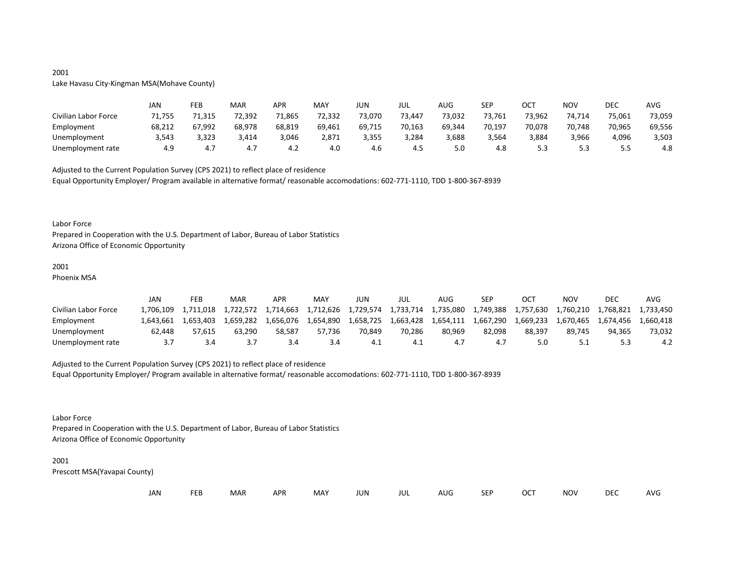# 2001 Lake Havasu City-Kingman MSA(Mohave County)

|                      | JAN    | FEB    | <b>MAR</b> | APR    | MAY    | JUN    | JUL    | AUG    | <b>SEP</b> | ост    | NOV    | DEC    | AVG    |
|----------------------|--------|--------|------------|--------|--------|--------|--------|--------|------------|--------|--------|--------|--------|
| Civilian Labor Force | 71,755 | 71,315 | 72,392     | 71,865 | 72,332 | 73,070 | 73,447 | 73,032 | 73,761     | 73,962 | 74,714 | 75,061 | 73,059 |
| Employment           | 68,212 | 67,992 | 68,978     | 68,819 | 69,461 | 69,715 | 70,163 | 69,344 | 70,197     | 70,078 | 70,748 | 70,965 | 69,556 |
| Unemployment         | 3,543  | 3,323  | 3,414      | 3,046  | 2,871  | 3,355  | 3,284  | 3,688  | 3,564      | 3,884  | 3,966  | 4,096  | 3,503  |
| Unemployment rate    | 4.9    | 4.,    | 4.7        | -4.∠   | 4.0    | 4.b    | 4.5    |        | 4.8        |        |        | - -    | 4.8    |

Adjusted to the Current Population Survey (CPS 2021) to reflect place of residence

Equal Opportunity Employer/ Program available in alternative format/ reasonable accomodations: 602-771-1110, TDD 1-800-367-8939

#### Labor Force

Prepared in Cooperation with the U.S. Department of Labor, Bureau of Labor Statistics Arizona Office of Economic Opportunity

# 2001

Phoenix MSA

|                      | JAN       | FEB       | MAR       | <b>APR</b> | MA <sup>V</sup> | JUN       | JUL       | AUG       | SEP       | ост       | NOV       | <b>DEC</b> | AVG       |
|----------------------|-----------|-----------|-----------|------------|-----------------|-----------|-----------|-----------|-----------|-----------|-----------|------------|-----------|
| Civilian Labor Force | .706.109  | 1.711.018 | 1,722,572 | 1.714.663  | 1,712,626       | 1,729,574 | 1,733,714 | 1,735,080 | 1,749,388 | 1,757,630 | 1,760,210 | 1.768.821  | 1.733.450 |
| Employment           | 1.643.661 | 1.653.403 | 1.659.282 | 1.656.076  | 1,654,890       | 1,658,725 | 1,663,428 | 1,654,111 | 1,667,290 | 1,669,233 | 1.670.465 | 1.674.456  | 1.660.418 |
| Unemployment         | 62.448    | 57.615    | 63,290    | 58.587     | 57.736          | 70.849    | 70.286    | 80.969    | 82.098    | 88.397    | 89.745    | 94.365     | 73,032    |
| Unemployment rate    |           |           |           |            | 3.4             | 4.⊥       |           |           |           |           |           |            | 4.2       |

#### Adjusted to the Current Population Survey (CPS 2021) to reflect place of residence

Equal Opportunity Employer/ Program available in alternative format/ reasonable accomodations: 602-771-1110, TDD 1-800-367-8939

### Labor Force

Prepared in Cooperation with the U.S. Department of Labor, Bureau of Labor Statistics Arizona Office of Economic Opportunity

#### 2001

| FEB MAR<br>OCT<br>JAN<br><b>MAY</b><br><b>DEC</b><br><b>SEP</b><br><b>NOV</b><br>APR<br>JUN<br>AUG<br>JUL | AVG |
|-----------------------------------------------------------------------------------------------------------|-----|
|-----------------------------------------------------------------------------------------------------------|-----|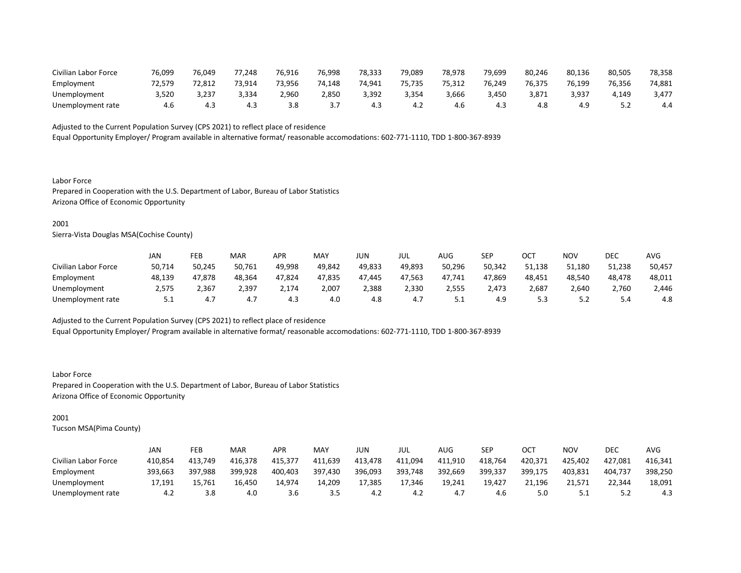| Civilian Labor Force | 76,099 | 76,049 | 77<br>.248 | 76,916 | 76,998 | 78,333 | 79.089 | 78,978 | 79.699 | 80,246 | 80,136 | 80,505 | 78,358 |
|----------------------|--------|--------|------------|--------|--------|--------|--------|--------|--------|--------|--------|--------|--------|
| Employment           | 72.579 | 72.81. | 73.914     | 73.956 | 74.148 | 74.941 | 75.735 | 75.312 | 76.249 | 76,375 | 76.199 | 76,356 | 74,881 |
| Unemployment         | 3,520  | 237,د  | 3,334      | 2,960  | 2,850  | 3.392  | 3,354  | 3,666  | 3,450  | 3,871  | 3,937  | 149ء   | 3,477  |
| Unemployment rate    |        | 4.3    | 4.3        |        |        | 4.3    | 4.2    | 4.b    | 4.3    | 4.8    | 4.9    |        | 4.4    |

Equal Opportunity Employer/ Program available in alternative format/ reasonable accomodations: 602-771-1110, TDD 1-800-367-8939

Labor Force Prepared in Cooperation with the U.S. Department of Labor, Bureau of Labor Statistics Arizona Office of Economic Opportunity

### 2001

Sierra-Vista Douglas MSA(Cochise County)

|                      | JAN        | FEB    | <b>MAR</b> | APR    | MA۱    | JUN    | JUL    | AUG        | <b>SEP</b> | $\cap$ $\cap$<br>UC. | NOV    | <b>DEC</b> | <b>AVC</b> |
|----------------------|------------|--------|------------|--------|--------|--------|--------|------------|------------|----------------------|--------|------------|------------|
| Civilian Labor Force | 50,714     | 50,245 | 50,761     | 49,998 | 49,842 | 49,833 | 49,893 | 50,296     | 50,342     | 51.138               | 51,180 | 51,238     | 50,457     |
| Employment           | 48,139     | 47,878 | 48,364     | 47,824 | 47,835 | 47.445 | 47,563 | 47,741     | 47,869     | 48,451               | 48,540 | 48,478     | 48,011     |
| Unemployment         | 2,575      | 2,367  | 2,397      | 2,174  | 2,007  | 2,388  | 2,330  | 2,555      | 2,473      | 2,687                | 2,640  | 2,760      | 2,446      |
| Unemployment rate    | <u>J.L</u> | 4.7    | 4.7        | د.4    | 4.0    | 4.8    | 4.7    | <u>J.L</u> | 4.9        | ر.ر                  | ے. ب   | 4.د        | 4.8        |

Adjusted to the Current Population Survey (CPS 2021) to reflect place of residence

Equal Opportunity Employer/ Program available in alternative format/ reasonable accomodations: 602-771-1110, TDD 1-800-367-8939

Labor Force Prepared in Cooperation with the U.S. Department of Labor, Bureau of Labor Statistics Arizona Office of Economic Opportunity

# 2001

|                      | JAN     | FEB     | <b>MAR</b> | APR     | MAY     | JUN     | JUL     | AUG     | SEP     | ОСТ     | NOV     | DEC     | AVG     |
|----------------------|---------|---------|------------|---------|---------|---------|---------|---------|---------|---------|---------|---------|---------|
| Civilian Labor Force | 410.854 | 413.749 | 416,378    | 415.377 | 411,639 | 413.478 | 411,094 | 411,910 | 418,764 | 420,371 | 425,402 | 427,081 | 416,341 |
| Employment           | 393,663 | 397,988 | 399,928    | 400,403 | 397,430 | 396,093 | 393,748 | 392,669 | 399,337 | 399,175 | 403,831 | 404.737 | 398,250 |
| Unemployment         | 17.191  | 15,761  | 16.450     | 14.974  | 14.209  | 17,385  | 17.346  | 19.241  | 19.427  | 21.196  | 21.571  | 22,344  | 18,091  |
| Unemployment rate    | 4.2     | 3.8     | 4.0        | 3.b     | 3.5     | 4.2     | 4.2     | 4.,     | 4.6     |         | ـ . ـ   |         | 4.3     |